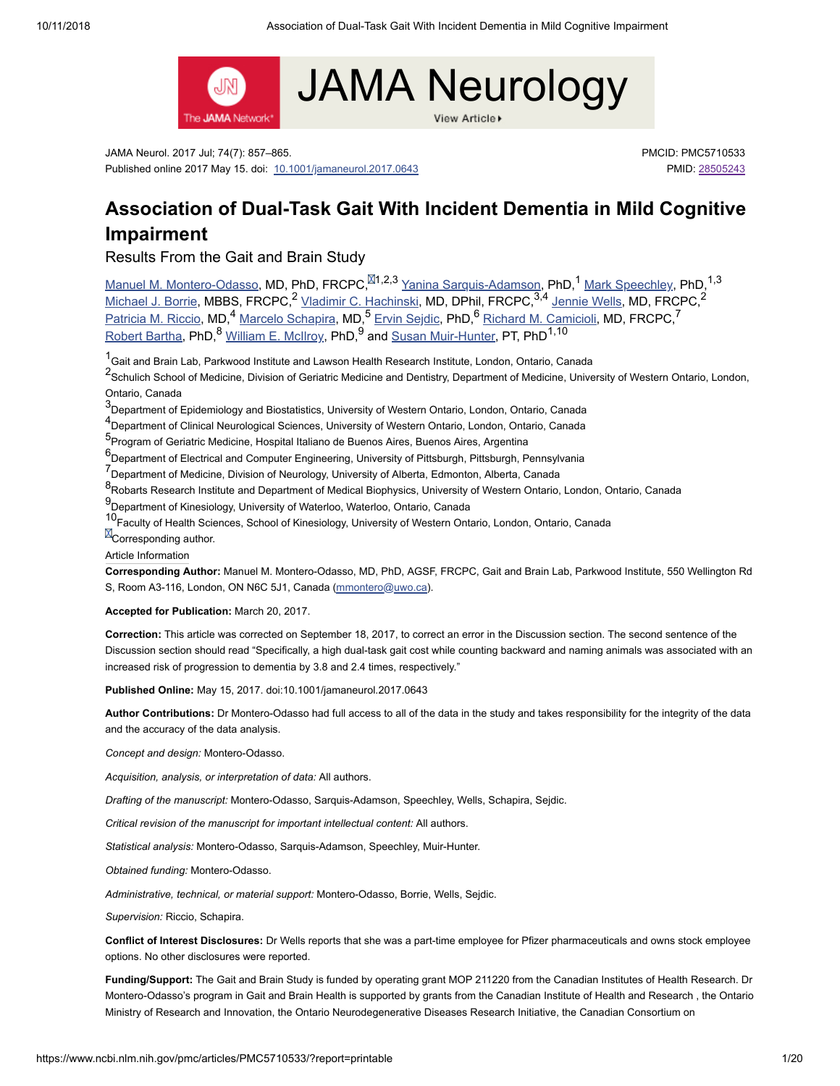View Article



JAMA Neurol. 2017 Jul; 74(7): 857–865. Published online 2017 May 15. doi: [10.1001/jamaneurol.2017.0643](https://dx.doi.org/10.1001%2Fjamaneurol.2017.0643)

PMCID: PMC5710533 PMID: [28505243](https://www.ncbi.nlm.nih.gov/pubmed/28505243)

# **Association of Dual-Task Gait With Incident Dementia in Mild Cognitive Impairment**

Results From the Gait and Brain Study

Manuel M. [Montero-Odasso,](https://www.ncbi.nlm.nih.gov/pubmed/?term=Montero-Odasso%20MM%5BAuthor%5D&cauthor=true&cauthor_uid=28505243) MD, PhD, FRCPC,<sup>M1,2,3</sup> Yanina [Sarquis-Adamson,](https://www.ncbi.nlm.nih.gov/pubmed/?term=Sarquis-Adamson%20Y%5BAuthor%5D&cauthor=true&cauthor_uid=28505243) PhD,<sup>1</sup> Mark [Speechley,](https://www.ncbi.nlm.nih.gov/pubmed/?term=Speechley%20M%5BAuthor%5D&cauthor=true&cauthor_uid=28505243) PhD,<sup>1,3</sup> [Michael](https://www.ncbi.nlm.nih.gov/pubmed/?term=Borrie%20MJ%5BAuthor%5D&cauthor=true&cauthor_uid=28505243) J. Borrie, MBBS, FRCPC,<sup>2</sup> Vladimir C. [Hachinski](https://www.ncbi.nlm.nih.gov/pubmed/?term=Hachinski%20VC%5BAuthor%5D&cauthor=true&cauthor_uid=28505243), MD, DPhil, FRCPC,<sup>3,4</sup> [Jennie](https://www.ncbi.nlm.nih.gov/pubmed/?term=Wells%20J%5BAuthor%5D&cauthor=true&cauthor_uid=28505243) Wells, MD, FRCPC,<sup>2</sup> [Patricia](https://www.ncbi.nlm.nih.gov/pubmed/?term=Riccio%20PM%5BAuthor%5D&cauthor=true&cauthor_uid=28505243) M. Riccio, MD,<sup>4</sup> Marcelo [Schapira,](https://www.ncbi.nlm.nih.gov/pubmed/?term=Schapira%20M%5BAuthor%5D&cauthor=true&cauthor_uid=28505243) MD,<sup>5</sup> Ervin [Sejdic](https://www.ncbi.nlm.nih.gov/pubmed/?term=Sejdic%20E%5BAuthor%5D&cauthor=true&cauthor_uid=28505243), PhD,<sup>6</sup> Richard M. [Camicioli,](https://www.ncbi.nlm.nih.gov/pubmed/?term=Camicioli%20RM%5BAuthor%5D&cauthor=true&cauthor_uid=28505243) MD, FRCPC, [Robert](https://www.ncbi.nlm.nih.gov/pubmed/?term=Bartha%20R%5BAuthor%5D&cauthor=true&cauthor_uid=28505243) Bartha, PhD,<sup>o</sup> [William](https://www.ncbi.nlm.nih.gov/pubmed/?term=McIlroy%20WE%5BAuthor%5D&cauthor=true&cauthor_uid=28505243) E. McIlroy, PhD,<sup>9</sup> and <u>Susan [Muir-Hunter](https://www.ncbi.nlm.nih.gov/pubmed/?term=Muir-Hunter%20S%5BAuthor%5D&cauthor=true&cauthor_uid=28505243),</u> PT, PhD<sup>1</sup>  $^4$  Marcelo Schapira, MD  $^5$  Envir Soidie, PhD  $^6$  Pichard M, Camiciali, MD, ERCRC  $^7$  $8$  William E. Mellroy, DbD  $9$  and Susan Muir Hunter, DT, DbD  $1,10$ 

1<br>Gait and Brain Lab, Parkwood Institute and Lawson Health Research Institute, London, Ontario, Canada

<sup>2</sup>Schulich School of Medicine, Division of Geriatric Medicine and Dentistry, Department of Medicine, University of Western Ontario, London, Ontario, Canada

3<br>Oepartment of Epidemiology and Biostatistics, University of Western Ontario, London, Ontario, Canada

4<br>Pepartment of Clinical Neurological Sciences, University of Western Ontario, London, Ontario, Canada

5<br><sup>5</sup> Program of Geriatric Medicine, Hospital Italiano de Buenos Aires, Buenos Aires, Argentina

 $6$ Department of Electrical and Computer Engineering, University of Pittsburgh, Pittsburgh, Pennsylvania

7<br>
Department of Medicine, Division of Neurology, University of Alberta, Edmonton, Alberta, Canada

8<br>Robarts Research Institute and Department of Medical Biophysics, University of Western Ontario, London, Ontario, Canada

9<br>Department of Kinesiology, University of Waterloo, Waterloo, Ontario, Canada

10<br>Faculty of Health Sciences, School of Kinesiology, University of Western Ontario, London, Ontario, Canada

**E**Corresponding author.

Article Information

**Corresponding Author:** Manuel M. Montero-Odasso, MD, PhD, AGSF, FRCPC, Gait and Brain Lab, Parkwood Institute, 550 Wellington Rd S, Room A3-116, London, ON N6C 5J1, Canada [\(mmontero@uwo.ca](mailto:dev@null)).

**Accepted for Publication:** March 20, 2017.

**Correction:** This article was corrected on September 18, 2017, to correct an error in the Discussion section. The second sentence of the Discussion section should read "Specifically, a high dual-task gait cost while counting backward and naming animals was associated with an increased risk of progression to dementia by 3.8 and 2.4 times, respectively."

**Published Online:** May 15, 2017. doi:10.1001/jamaneurol.2017.0643

**Author Contributions:** Dr Montero-Odasso had full access to all of the data in the study and takes responsibility for the integrity of the data and the accuracy of the data analysis.

*Concept and design:* Montero-Odasso.

*Acquisition, analysis, or interpretation of data:* All authors.

*Drafting of the manuscript:* Montero-Odasso, Sarquis-Adamson, Speechley, Wells, Schapira, Sejdic.

*Critical revision of the manuscript for important intellectual content:* All authors.

*Statistical analysis:* Montero-Odasso, Sarquis-Adamson, Speechley, Muir-Hunter.

*Obtained funding:* Montero-Odasso.

*Administrative, technical, or material support:* Montero-Odasso, Borrie, Wells, Sejdic.

*Supervision:* Riccio, Schapira.

**Conflict of Interest Disclosures:** Dr Wells reports that she was a part-time employee for Pfizer pharmaceuticals and owns stock employee options. No other disclosures were reported.

**Funding/Support:** The Gait and Brain Study is funded by operating grant MOP 211220 from the Canadian Institutes of Health Research. Dr Montero-Odasso's program in Gait and Brain Health is supported by grants from the Canadian Institute of Health and Research , the Ontario Ministry of Research and Innovation, the Ontario Neurodegenerative Diseases Research Initiative, the Canadian Consortium on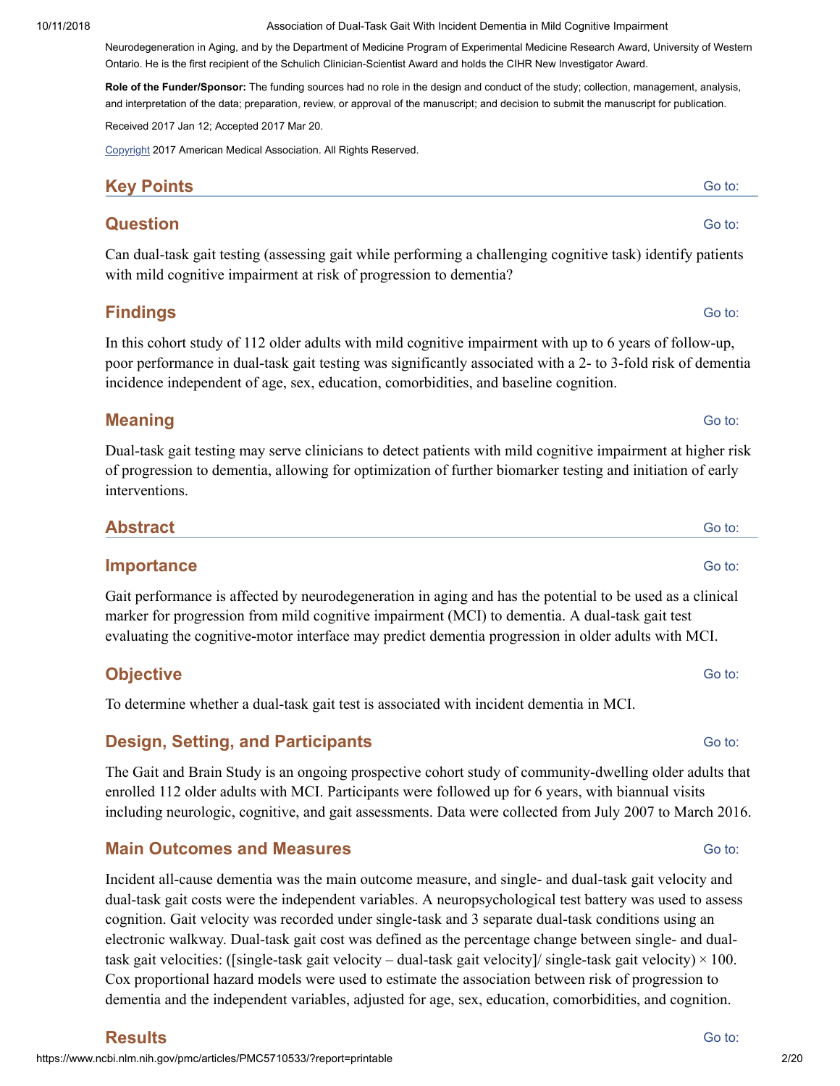Neurodegeneration in Aging, and by the Department of Medicine Program of Experimental Medicine Research Award, University of Western Ontario. He is the first recipient of the Schulich Clinician-Scientist Award and holds the CIHR New Investigator Award.

**Role of the Funder/Sponsor:** The funding sources had no role in the design and conduct of the study; collection, management, analysis, and interpretation of the data; preparation, review, or approval of the manuscript; and decision to submit the manuscript for publication.

Received 2017 Jan 12; Accepted 2017 Mar 20.

[Copyright](https://www.ncbi.nlm.nih.gov/pmc/about/copyright/) 2017 American Medical Association. All Rights Reserved.

### **Key Points**

#### **Question**

Can dual-task gait testing (assessing gait while performing a challenging cognitive task) identify patients with mild cognitive impairment at risk of progression to dementia?

### **Findings**

In this cohort study of 112 older adults with mild cognitive impairment with up to 6 years of follow-up, poor performance in dual-task gait testing was significantly associated with a 2- to 3-fold risk of dementia incidence independent of age, sex, education, comorbidities, and baseline cognition.

#### **Meaning**

Dual-task gait testing may serve clinicians to detect patients with mild cognitive impairment at higher risk of progression to dementia, allowing for optimization of further biomarker testing and initiation of early interventions.

| <b>Abstract</b> | Go to: |
|-----------------|--------|
|                 |        |

#### **Importance**

Gait performance is affected by neurodegeneration in aging and has the potential to be used as a clinical marker for progression from mild cognitive impairment (MCI) to dementia. A dual-task gait test evaluating the cognitive-motor interface may predict dementia progression in older adults with MCI.

### **Objective**

To determine whether a dual-task gait test is associated with incident dementia in MCI.

#### **Design, Setting, and Participants**

The Gait and Brain Study is an ongoing prospective cohort study of community-dwelling older adults that enrolled 112 older adults with MCI. Participants were followed up for 6 years, with biannual visits including neurologic, cognitive, and gait assessments. Data were collected from July 2007 to March 2016.

### **Main Outcomes and Measures**

Incident all-cause dementia was the main outcome measure, and single- and dual-task gait velocity and dual-task gait costs were the independent variables. A neuropsychological test battery was used to assess cognition. Gait velocity was recorded under single-task and 3 separate dual-task conditions using an electronic walkway. Dual-task gait cost was defined as the percentage change between single- and dualtask gait velocities: ([single-task gait velocity – dual-task gait velocity]/ single-task gait velocity)  $\times$  100. Cox proportional hazard models were used to estimate the association between risk of progression to dementia and the independent variables, adjusted for age, sex, education, comorbidities, and cognition.

Go to:

Go to:

Go to:

Go to:

Go to:

Go to:

Go to: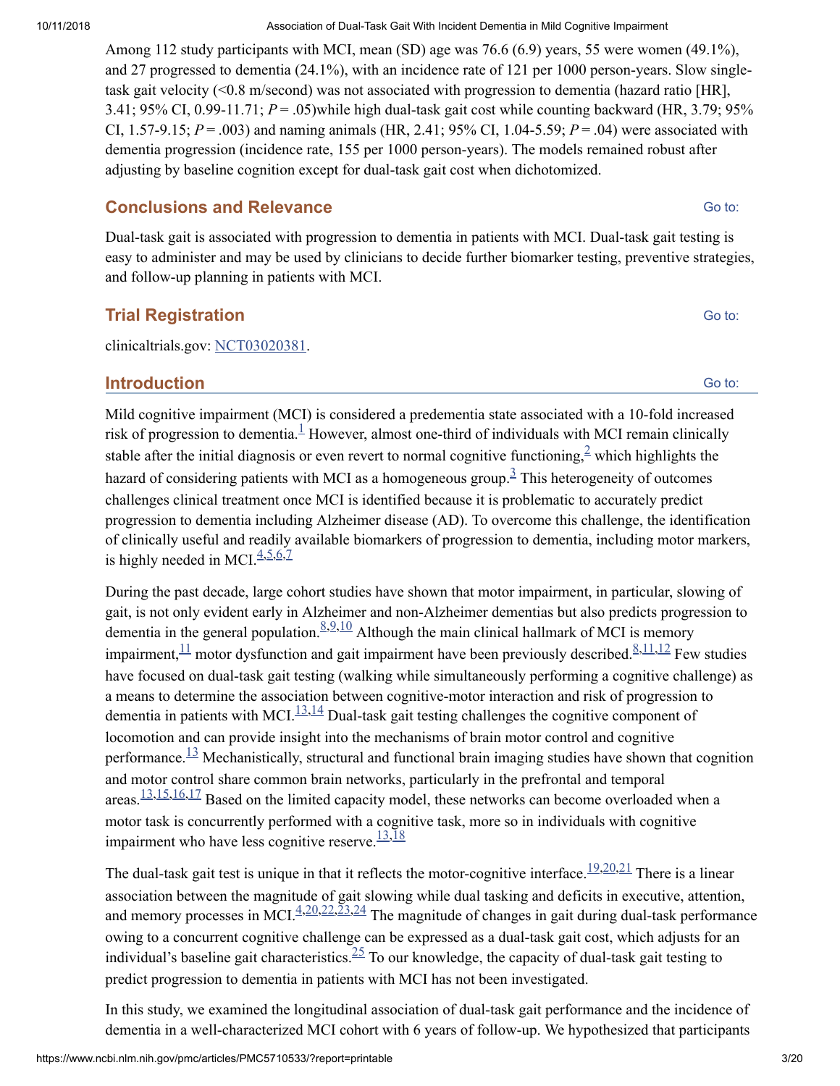Among 112 study participants with MCI, mean (SD) age was 76.6 (6.9) years, 55 were women (49.1%), and 27 progressed to dementia (24.1%), with an incidence rate of 121 per 1000 person-years. Slow singletask gait velocity (<0.8 m/second) was not associated with progression to dementia (hazard ratio [HR], 3.41; 95% CI, 0.99-11.71; *P* = .05)while high dual-task gait cost while counting backward (HR, 3.79; 95% CI, 1.57-9.15;  $P = .003$ ) and naming animals (HR, 2.41; 95% CI, 1.04-5.59;  $P = .04$ ) were associated with dementia progression (incidence rate, 155 per 1000 person-years). The models remained robust after adjusting by baseline cognition except for dual-task gait cost when dichotomized.

### **Conclusions and Relevance**

Dual-task gait is associated with progression to dementia in patients with MCI. Dual-task gait testing is easy to administer and may be used by clinicians to decide further biomarker testing, preventive strategies, and follow-up planning in patients with MCI.

### **Trial Registration**

clinicaltrials.gov: [NCT03020381](https://clinicaltrials.gov/ct2/show/NCT03020381).

### **Introduction**

Mild cognitive impairment (MCI) is considered a predementia state associated with a 10-fold increased risk of progression to dementia. $\frac{1}{2}$  $\frac{1}{2}$  $\frac{1}{2}$  However, almost one-third of individuals with MCI remain clinically stable after the initial diagnosis or even revert to normal cognitive functioning,  $\frac{2}{3}$  $\frac{2}{3}$  $\frac{2}{3}$  which highlights the hazard of considering patients with MCI as a homogeneous group.<sup>[3](#page-8-2)</sup> This heterogeneity of outcomes challenges clinical treatment once MCI is identified because it is problematic to accurately predict progression to dementia including Alzheimer disease (AD). To overcome this challenge, the identification of clinically useful and readily available biomarkers of progression to dementia, including motor markers, is highly needed in MCI. $4,5,6,7$  $4,5,6,7$  $4,5,6,7$  $4,5,6,7$  $4,5,6,7$ 

During the past decade, large cohort studies have shown that motor impairment, in particular, slowing of gait, is not only evident early in Alzheimer and non-Alzheimer dementias but also predicts progression to dementia in the general population.  $8.9,10$  $8.9,10$  $8.9,10$  $8.9,10$  Although the main clinical hallmark of MCI is memory impairment,  $\frac{11}{11}$  $\frac{11}{11}$  $\frac{11}{11}$  motor dysfunction and gait impairment have been previously described.  $\frac{8,11,12}{1}$  $\frac{8,11,12}{1}$  $\frac{8,11,12}{1}$  $\frac{8,11,12}{1}$  $\frac{8,11,12}{1}$  $\frac{8,11,12}{1}$  Few studies have focused on dual-task gait testing (walking while simultaneously performing a cognitive challenge) as a means to determine the association between cognitive-motor interaction and risk of progression to dementia in patients with MCI. $\frac{13,14}{2}$  $\frac{13,14}{2}$  $\frac{13,14}{2}$  $\frac{13,14}{2}$  Dual-task gait testing challenges the cognitive component of locomotion and can provide insight into the mechanisms of brain motor control and cognitive performance. $\frac{13}{13}$  $\frac{13}{13}$  $\frac{13}{13}$  Mechanistically, structural and functional brain imaging studies have shown that cognition and motor control share common brain networks, particularly in the prefrontal and temporal areas.  $\frac{13,15,16,17}{2}$  $\frac{13,15,16,17}{2}$  $\frac{13,15,16,17}{2}$  $\frac{13,15,16,17}{2}$  $\frac{13,15,16,17}{2}$  $\frac{13,15,16,17}{2}$  Based on the limited capacity model, these networks can become overloaded when a motor task is concurrently performed with a cognitive task, more so in individuals with cognitive impairment who have less cognitive reserve.  $\frac{13,18}{13}$  $\frac{13,18}{13}$  $\frac{13,18}{13}$  $\frac{13,18}{13}$ 

The dual-task gait test is unique in that it reflects the motor-cognitive interface.  $\frac{19,20,21}{2}$  $\frac{19,20,21}{2}$  $\frac{19,20,21}{2}$  $\frac{19,20,21}{2}$  $\frac{19,20,21}{2}$  There is a linear association between the magnitude of gait slowing while dual tasking and deficits in executive, attention, and memory processes in MCI. $\frac{4,20,22,23,24}{4}$  $\frac{4,20,22,23,24}{4}$  $\frac{4,20,22,23,24}{4}$  $\frac{4,20,22,23,24}{4}$  $\frac{4,20,22,23,24}{4}$  $\frac{4,20,22,23,24}{4}$  $\frac{4,20,22,23,24}{4}$  $\frac{4,20,22,23,24}{4}$  $\frac{4,20,22,23,24}{4}$  The magnitude of changes in gait during dual-task performance owing to a concurrent cognitive challenge can be expressed as a dual-task gait cost, which adjusts for an individual's baseline gait characteristics.  $\frac{25}{2}$  $\frac{25}{2}$  $\frac{25}{2}$  To our knowledge, the capacity of dual-task gait testing to predict progression to dementia in patients with MCI has not been investigated.

In this study, we examined the longitudinal association of dual-task gait performance and the incidence of dementia in a well-characterized MCI cohort with 6 years of follow-up. We hypothesized that participants

Go to:

Go to: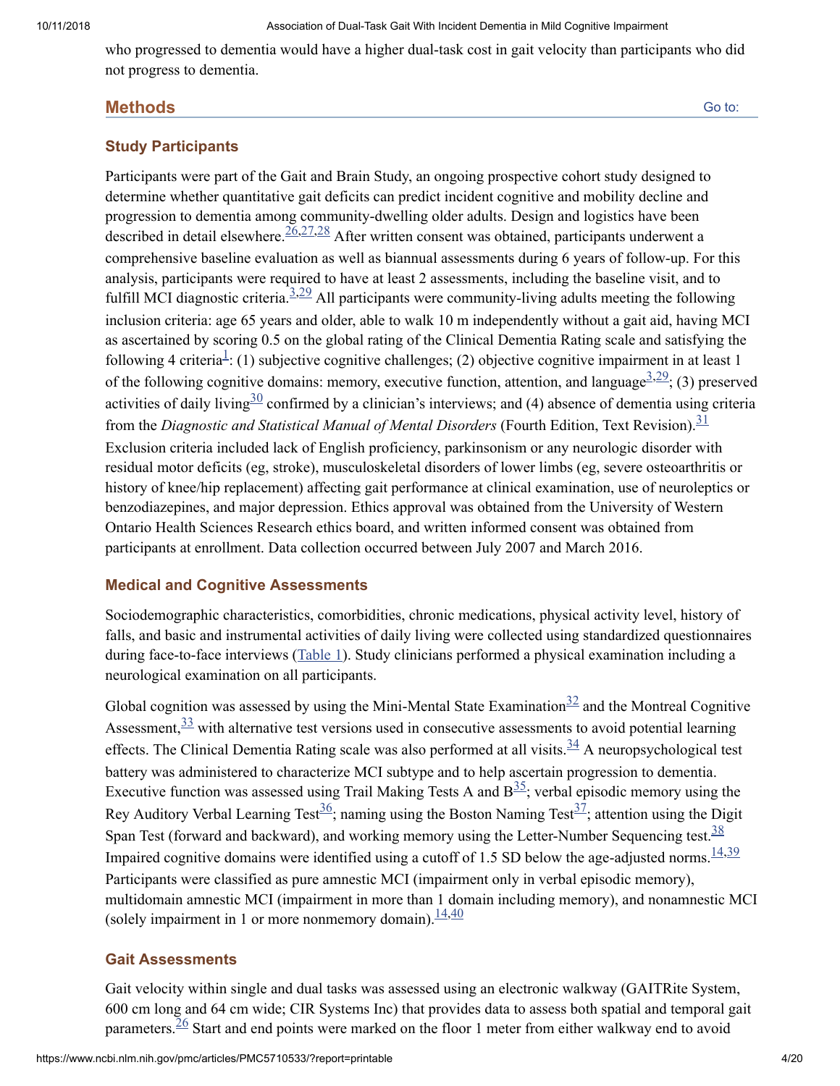who progressed to dementia would have a higher dual-task cost in gait velocity than participants who did not progress to dementia.

#### **Methods**

#### **Study Participants**

Participants were part of the Gait and Brain Study, an ongoing prospective cohort study designed to determine whether quantitative gait deficits can predict incident cognitive and mobility decline and progression to dementia among community-dwelling older adults. Design and logistics have been described in detail elsewhere.  $\frac{26,27,28}{2}$  $\frac{26,27,28}{2}$  $\frac{26,27,28}{2}$  $\frac{26,27,28}{2}$  $\frac{26,27,28}{2}$  $\frac{26,27,28}{2}$  $\frac{26,27,28}{2}$  After written consent was obtained, participants underwent a comprehensive baseline evaluation as well as biannual assessments during 6 years of follow-up. For this analysis, participants were required to have at least 2 assessments, including the baseline visit, and to fulfill MCI diagnostic criteria.  $\frac{3,29}{2}$  $\frac{3,29}{2}$  $\frac{3,29}{2}$  $\frac{3,29}{2}$  All participants were community-living adults meeting the following inclusion criteria: age 65 years and older, able to walk 10 m independently without a gait aid, having MCI as ascertained by scoring 0.5 on the global rating of the Clinical Dementia Rating scale and satisfying the following 4 criteria<sup>[1](#page-8-0)</sup>: (1) subjective cognitive challenges; (2) objective cognitive impairment in at least 1 of the following cognitive domains: memory, executive function, attention, and language<sup>[3,](#page-8-2)[29](#page-10-0)</sup>; (3) preserved activities of daily living  $\frac{30}{2}$  $\frac{30}{2}$  $\frac{30}{2}$  confirmed by a clinician's interviews; and (4) absence of dementia using criteria from the *Diagnostic and Statistical Manual of Mental Disorders* (Fourth Edition, Text Revision). [31](#page-10-2) Exclusion criteria included lack of English proficiency, parkinsonism or any neurologic disorder with residual motor deficits (eg, stroke), musculoskeletal disorders of lower limbs (eg, severe osteoarthritis or history of knee/hip replacement) affecting gait performance at clinical examination, use of neuroleptics or benzodiazepines, and major depression. Ethics approval was obtained from the University of Western Ontario Health Sciences Research ethics board, and written informed consent was obtained from participants at enrollment. Data collection occurred between July 2007 and March 2016.

#### **Medical and Cognitive Assessments**

Sociodemographic characteristics, comorbidities, chronic medications, physical activity level, history of falls, and basic and instrumental activities of daily living were collected using standardized questionnaires during face-to-face interviews ([Table](https://www.ncbi.nlm.nih.gov/pmc/articles/PMC5710533/table/noi170018t1/) 1). Study clinicians performed a physical examination including a neurological examination on all participants.

Global cognition was assessed by using the Mini-Mental State Examination $\frac{32}{2}$  $\frac{32}{2}$  $\frac{32}{2}$  and the Montreal Cognitive Assessment,  $\frac{33}{3}$  $\frac{33}{3}$  $\frac{33}{3}$  with alternative test versions used in consecutive assessments to avoid potential learning effects. The Clinical Dementia Rating scale was also performed at all visits. $34$  A neuropsychological test battery was administered to characterize MCI subtype and to help ascertain progression to dementia. Executive function was assessed using Trail Making Tests A and  $B<sup>35</sup>$  $B<sup>35</sup>$  $B<sup>35</sup>$ ; verbal episodic memory using the Rey Auditory Verbal Learning Test<sup>[36](#page-10-7)</sup>; naming using the Boston Naming Test<sup>[37](#page-10-8)</sup>; attention using the Digit Span Test (forward and backward), and working memory using the Letter-Number Sequencing test.  $\frac{38}{3}$  $\frac{38}{3}$  $\frac{38}{3}$ Impaired cognitive domains were identified using a cutoff of 1.5 SD below the age-adjusted norms.  $\frac{14,39}{2}$  $\frac{14,39}{2}$  $\frac{14,39}{2}$  $\frac{14,39}{2}$ Participants were classified as pure amnestic MCI (impairment only in verbal episodic memory), multidomain amnestic MCI (impairment in more than 1 domain including memory), and nonamnestic MCI (solely impairment in 1 or more nonmemory domain).  $\frac{14,40}{ }$  $\frac{14,40}{ }$  $\frac{14,40}{ }$  $\frac{14,40}{ }$ 

#### **Gait Assessments**

Gait velocity within single and dual tasks was assessed using an electronic walkway (GAITRite System, 600 cm long and 64 cm wide; CIR Systems Inc) that provides data to assess both spatial and temporal gait parameters.  $\frac{26}{3}$  $\frac{26}{3}$  $\frac{26}{3}$  Start and end points were marked on the floor 1 meter from either walkway end to avoid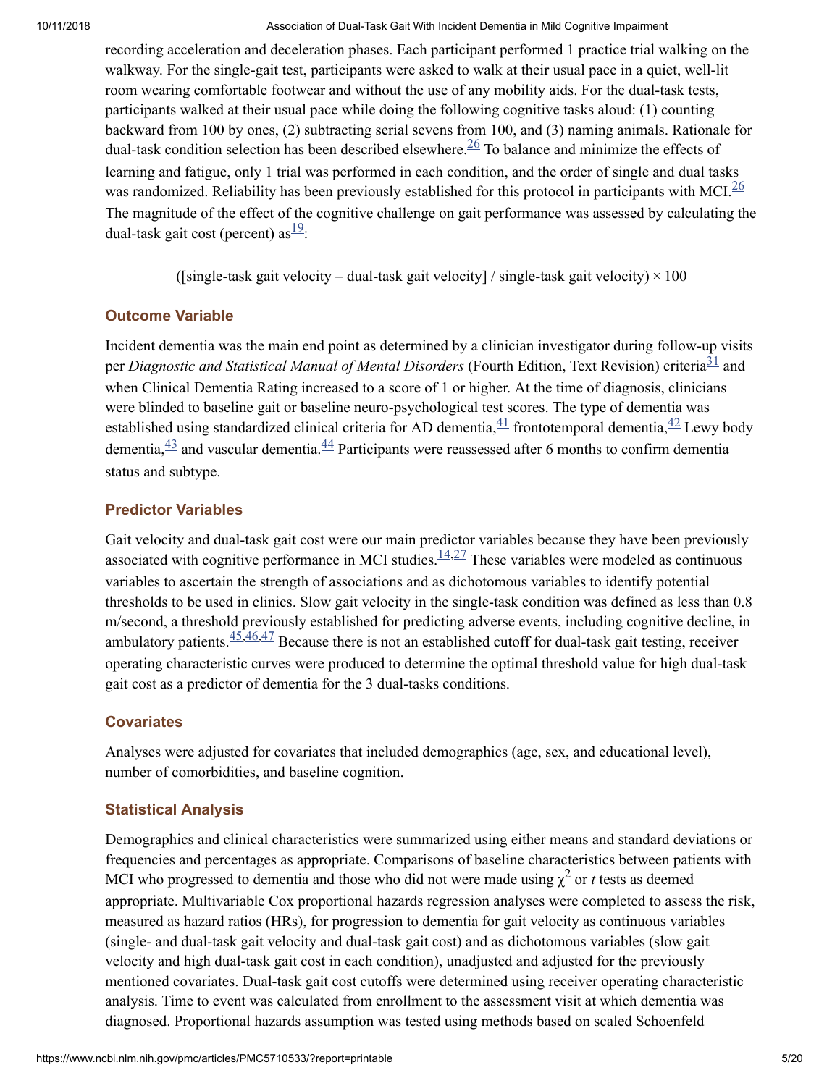recording acceleration and deceleration phases. Each participant performed 1 practice trial walking on the walkway. For the single-gait test, participants were asked to walk at their usual pace in a quiet, well-lit room wearing comfortable footwear and without the use of any mobility aids. For the dual-task tests, participants walked at their usual pace while doing the following cognitive tasks aloud: (1) counting backward from 100 by ones, (2) subtracting serial sevens from 100, and (3) naming animals. Rationale for dual-task condition selection has been described elsewhere.  $\frac{26}{10}$  $\frac{26}{10}$  $\frac{26}{10}$  To balance and minimize the effects of learning and fatigue, only 1 trial was performed in each condition, and the order of single and dual tasks was randomized. Reliability has been previously established for this protocol in participants with MCI.<sup>[26](#page-9-13)</sup> The magnitude of the effect of the cognitive challenge on gait performance was assessed by calculating the dual-task gait cost (percent) as  $\frac{19}{12}$  $\frac{19}{12}$  $\frac{19}{12}$ :

([single-task gait velocity – dual-task gait velocity] / single-task gait velocity)  $\times$  100

### **Outcome Variable**

Incident dementia was the main end point as determined by a clinician investigator during follow-up visits per *Diagnostic and Statistical Manual of Mental Disorders* (Fourth Edition, Text Revision) criteria<sup>[31](#page-10-2)</sup> and when Clinical Dementia Rating increased to a score of 1 or higher. At the time of diagnosis, clinicians were blinded to baseline gait or baseline neuro-psychological test scores. The type of dementia was established using standardized clinical criteria for AD dementia, $\frac{41}{1}$  $\frac{41}{1}$  $\frac{41}{1}$  frontotemporal dementia, $\frac{42}{1}$  $\frac{42}{1}$  $\frac{42}{1}$  Lewy body dementia,  $\frac{43}{12}$  $\frac{43}{12}$  $\frac{43}{12}$  and vascular dementia.  $\frac{44}{12}$  $\frac{44}{12}$  $\frac{44}{12}$  Participants were reassessed after 6 months to confirm dementia status and subtype.

### **Predictor Variables**

Gait velocity and dual-task gait cost were our main predictor variables because they have been previously associated with cognitive performance in MCI studies. $\frac{14,27}{ }$  $\frac{14,27}{ }$  $\frac{14,27}{ }$  $\frac{14,27}{ }$  These variables were modeled as continuous variables to ascertain the strength of associations and as dichotomous variables to identify potential thresholds to be used in clinics. Slow gait velocity in the single-task condition was defined as less than 0.8 m/second, a threshold previously established for predicting adverse events, including cognitive decline, in ambulatory patients.  $\frac{45,46,47}{2}$  $\frac{45,46,47}{2}$  $\frac{45,46,47}{2}$  $\frac{45,46,47}{2}$  $\frac{45,46,47}{2}$  Because there is not an established cutoff for dual-task gait testing, receiver operating characteristic curves were produced to determine the optimal threshold value for high dual-task gait cost as a predictor of dementia for the 3 dual-tasks conditions.

### **Covariates**

Analyses were adjusted for covariates that included demographics (age, sex, and educational level), number of comorbidities, and baseline cognition.

### **Statistical Analysis**

Demographics and clinical characteristics were summarized using either means and standard deviations or frequencies and percentages as appropriate. Comparisons of baseline characteristics between patients with MCI who progressed to dementia and those who did not were made using  $\chi^2$  or *t* tests as deemed appropriate. Multivariable Cox proportional hazards regression analyses were completed to assess the risk, measured as hazard ratios (HRs), for progression to dementia for gait velocity as continuous variables (single- and dual-task gait velocity and dual-task gait cost) and as dichotomous variables (slow gait velocity and high dual-task gait cost in each condition), unadjusted and adjusted for the previously mentioned covariates. Dual-task gait cost cutoffs were determined using receiver operating characteristic analysis. Time to event was calculated from enrollment to the assessment visit at which dementia was diagnosed. Proportional hazards assumption was tested using methods based on scaled Schoenfeld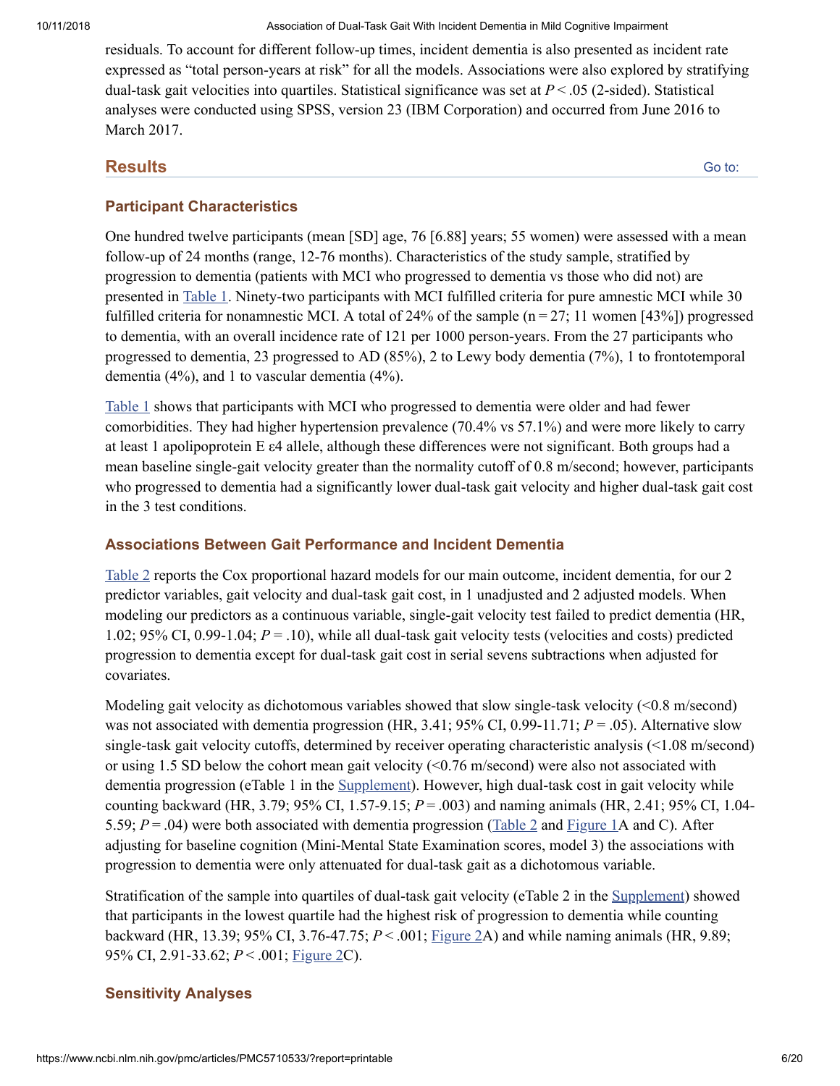residuals. To account for different follow-up times, incident dementia is also presented as incident rate expressed as "total person-years at risk" for all the models. Associations were also explored by stratifying dual-task gait velocities into quartiles. Statistical significance was set at *P* < .05 (2-sided). Statistical analyses were conducted using SPSS, version 23 (IBM Corporation) and occurred from June 2016 to March 2017.

#### **Results**

Go to:

### **Participant Characteristics**

One hundred twelve participants (mean [SD] age, 76 [6.88] years; 55 women) were assessed with a mean follow-up of 24 months (range, 12-76 months). Characteristics of the study sample, stratified by progression to dementia (patients with MCI who progressed to dementia vs those who did not) are presented in [Table](https://www.ncbi.nlm.nih.gov/pmc/articles/PMC5710533/table/noi170018t1/) 1. Ninety-two participants with MCI fulfilled criteria for pure amnestic MCI while 30 fulfilled criteria for nonamnestic MCI. A total of 24% of the sample ( $n = 27$ ; 11 women [43%]) progressed to dementia, with an overall incidence rate of 121 per 1000 person-years. From the 27 participants who progressed to dementia, 23 progressed to AD (85%), 2 to Lewy body dementia (7%), 1 to frontotemporal dementia (4%), and 1 to vascular dementia (4%).

[Table](https://www.ncbi.nlm.nih.gov/pmc/articles/PMC5710533/table/noi170018t1/) 1 shows that participants with MCI who progressed to dementia were older and had fewer comorbidities. They had higher hypertension prevalence (70.4% vs 57.1%) and were more likely to carry at least 1 apolipoprotein E ε4 allele, although these differences were not significant. Both groups had a mean baseline single-gait velocity greater than the normality cutoff of 0.8 m/second; however, participants who progressed to dementia had a significantly lower dual-task gait velocity and higher dual-task gait cost in the 3 test conditions.

### **Associations Between Gait Performance and Incident Dementia**

[Table](https://www.ncbi.nlm.nih.gov/pmc/articles/PMC5710533/table/noi170018t2/) 2 reports the Cox proportional hazard models for our main outcome, incident dementia, for our 2 predictor variables, gait velocity and dual-task gait cost, in 1 unadjusted and 2 adjusted models. When modeling our predictors as a continuous variable, single-gait velocity test failed to predict dementia (HR, 1.02; 95% CI, 0.99-1.04; *P* = .10), while all dual-task gait velocity tests (velocities and costs) predicted progression to dementia except for dual-task gait cost in serial sevens subtractions when adjusted for covariates.

Modeling gait velocity as dichotomous variables showed that slow single-task velocity (<0.8 m/second) was not associated with dementia progression (HR, 3.41; 95% CI, 0.99-11.71; *P* = .05). Alternative slow single-task gait velocity cutoffs, determined by receiver operating characteristic analysis (<1.08 m/second) or using 1.5 SD below the cohort mean gait velocity (<0.76 m/second) were also not associated with dementia progression (eTable 1 in the [Supplement\)](#page-8-12). However, high dual-task cost in gait velocity while counting backward (HR, 3.79; 95% CI, 1.57-9.15; *P* = .003) and naming animals (HR, 2.41; 95% CI, 1.04- 5.59; *P* = .04) were both associated with dementia progression [\(Table](https://www.ncbi.nlm.nih.gov/pmc/articles/PMC5710533/table/noi170018t2/) 2 and [Figure](https://www.ncbi.nlm.nih.gov/pmc/articles/PMC5710533/figure/noi170018f1/) 1A and C). After adjusting for baseline cognition (Mini-Mental State Examination scores, model 3) the associations with progression to dementia were only attenuated for dual-task gait as a dichotomous variable.

Stratification of the sample into quartiles of dual-task gait velocity (eTable 2 in the [Supplement](#page-8-12)) showed that participants in the lowest quartile had the highest risk of progression to dementia while counting backward (HR, 13.39; 95% CI, 3.76-47.75; *P* < .001; [Figure](https://www.ncbi.nlm.nih.gov/pmc/articles/PMC5710533/figure/noi170018f2/) 2A) and while naming animals (HR, 9.89; 95% CI, 2.91-33.62; *P* < .001; [Figure](https://www.ncbi.nlm.nih.gov/pmc/articles/PMC5710533/figure/noi170018f2/) 2C).

### **Sensitivity Analyses**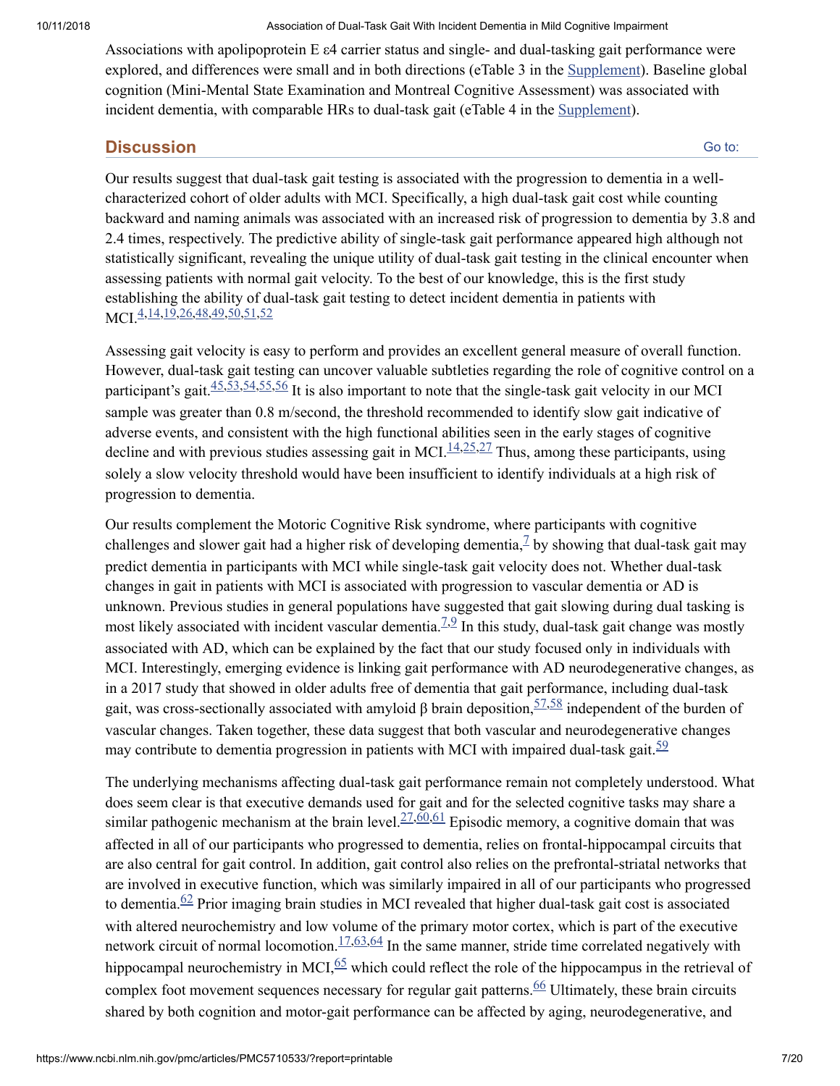Associations with apolipoprotein E ε4 carrier status and single- and dual-tasking gait performance were explored, and differences were small and in both directions (eTable 3 in the [Supplement\)](#page-8-12). Baseline global cognition (Mini-Mental State Examination and Montreal Cognitive Assessment) was associated with incident dementia, with comparable HRs to dual-task gait (eTable 4 in the [Supplement](#page-8-12)).

### **Discussion**

Go to:

Our results suggest that dual-task gait testing is associated with the progression to dementia in a wellcharacterized cohort of older adults with MCI. Specifically, a high dual-task gait cost while counting backward and naming animals was associated with an increased risk of progression to dementia by 3.8 and 2.4 times, respectively. The predictive ability of single-task gait performance appeared high although not statistically significant, revealing the unique utility of dual-task gait testing in the clinical encounter when assessing patients with normal gait velocity. To the best of our knowledge, this is the first study establishing the ability of dual-task gait testing to detect incident dementia in patients with MCI.<sup>[4](#page-8-3)[,14](#page-9-1)[,19,](#page-9-6)[26](#page-9-13),[48,](#page-11-3)[49,](#page-11-4)[50](#page-11-5)[,51](#page-11-6)[,52](#page-11-7)</sup>

Assessing gait velocity is easy to perform and provides an excellent general measure of overall function. However, dual-task gait testing can uncover valuable subtleties regarding the role of cognitive control on a participant's gait.  $45,53,54,55,56$  $45,53,54,55,56$  $45,53,54,55,56$  $45,53,54,55,56$  $45,53,54,55,56$  $45,53,54,55,56$  $45,53,54,55,56$  It is also important to note that the single-task gait velocity in our MCI sample was greater than 0.8 m/second, the threshold recommended to identify slow gait indicative of adverse events, and consistent with the high functional abilities seen in the early stages of cognitive decline and with previous studies assessing gait in MCI. $\frac{14,25,27}{1}$  $\frac{14,25,27}{1}$  $\frac{14,25,27}{1}$  $\frac{14,25,27}{1}$  $\frac{14,25,27}{1}$  $\frac{14,25,27}{1}$  Thus, among these participants, using solely a slow velocity threshold would have been insufficient to identify individuals at a high risk of progression to dementia.

Our results complement the Motoric Cognitive Risk syndrome, where participants with cognitive challenges and slower gait had a higher risk of developing dementia,  $\frac{1}{2}$  by showing that dual-task gait may predict dementia in participants with MCI while single-task gait velocity does not. Whether dual-task changes in gait in patients with MCI is associated with progression to vascular dementia or AD is unknown. Previous studies in general populations have suggested that gait slowing during dual tasking is most likely associated with incident vascular dementia.<sup> $7.9$  $7.9$ </sup> In this study, dual-task gait change was mostly associated with AD, which can be explained by the fact that our study focused only in individuals with MCI. Interestingly, emerging evidence is linking gait performance with AD neurodegenerative changes, as in a 2017 study that showed in older adults free of dementia that gait performance, including dual-task gait, was cross-sectionally associated with amyloid  $\beta$  brain deposition,  $\frac{57,58}{ }$  $\frac{57,58}{ }$  $\frac{57,58}{ }$  $\frac{57,58}{ }$  independent of the burden of vascular changes. Taken together, these data suggest that both vascular and neurodegenerative changes may contribute to dementia progression in patients with MCI with impaired dual-task gait.  $\frac{59}{2}$  $\frac{59}{2}$  $\frac{59}{2}$ 

The underlying mechanisms affecting dual-task gait performance remain not completely understood. What does seem clear is that executive demands used for gait and for the selected cognitive tasks may share a similar pathogenic mechanism at the brain level. $\frac{27,60,61}{2}$  $\frac{27,60,61}{2}$  $\frac{27,60,61}{2}$  $\frac{27,60,61}{2}$  $\frac{27,60,61}{2}$  $\frac{27,60,61}{2}$  Episodic memory, a cognitive domain that was affected in all of our participants who progressed to dementia, relies on frontal-hippocampal circuits that are also central for gait control. In addition, gait control also relies on the prefrontal-striatal networks that are involved in executive function, which was similarly impaired in all of our participants who progressed to dementia. $62$  Prior imaging brain studies in MCI revealed that higher dual-task gait cost is associated with altered neurochemistry and low volume of the primary motor cortex, which is part of the executive network circuit of normal locomotion.  $17,63,64$  $17,63,64$  $17,63,64$  In the same manner, stride time correlated negatively with hippocampal neurochemistry in MCI $\frac{65}{6}$  $\frac{65}{6}$  $\frac{65}{6}$  which could reflect the role of the hippocampus in the retrieval of complex foot movement sequences necessary for regular gait patterns.  $66$  Ultimately, these brain circuits shared by both cognition and motor-gait performance can be affected by aging, neurodegenerative, and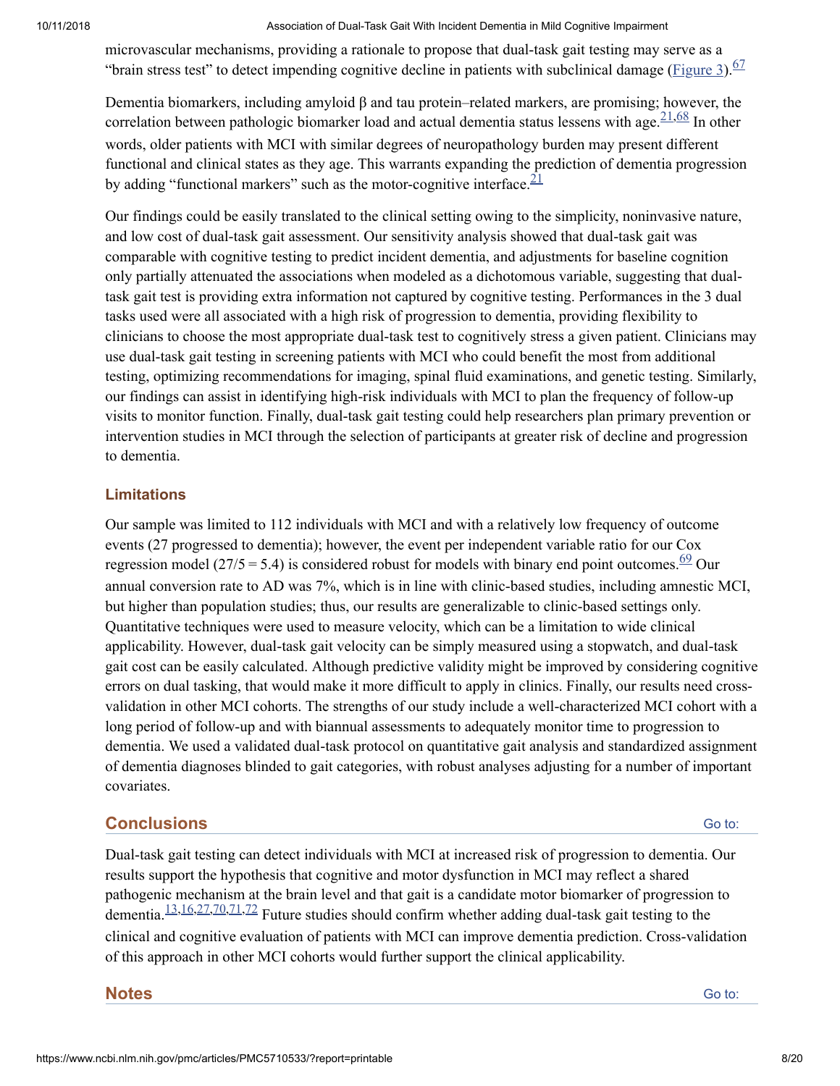microvascular mechanisms, providing a rationale to propose that dual-task gait testing may serve as a "brain stress test" to detect impending cognitive decline in patients with subclinical damage [\(Figure](https://www.ncbi.nlm.nih.gov/pmc/articles/PMC5710533/figure/noi170018f3/) 3).<sup>[67](#page-12-7)</sup>

Dementia biomarkers, including amyloid β and tau protein–related markers, are promising; however, the correlation between pathologic biomarker load and actual dementia status lessens with age.  $21,68$  $21,68$  In other words, older patients with MCI with similar degrees of neuropathology burden may present different functional and clinical states as they age. This warrants expanding the prediction of dementia progression by adding "functional markers" such as the motor-cognitive interface. $\frac{21}{2}$  $\frac{21}{2}$  $\frac{21}{2}$ 

Our findings could be easily translated to the clinical setting owing to the simplicity, noninvasive nature, and low cost of dual-task gait assessment. Our sensitivity analysis showed that dual-task gait was comparable with cognitive testing to predict incident dementia, and adjustments for baseline cognition only partially attenuated the associations when modeled as a dichotomous variable, suggesting that dualtask gait test is providing extra information not captured by cognitive testing. Performances in the 3 dual tasks used were all associated with a high risk of progression to dementia, providing flexibility to clinicians to choose the most appropriate dual-task test to cognitively stress a given patient. Clinicians may use dual-task gait testing in screening patients with MCI who could benefit the most from additional testing, optimizing recommendations for imaging, spinal fluid examinations, and genetic testing. Similarly, our findings can assist in identifying high-risk individuals with MCI to plan the frequency of follow-up visits to monitor function. Finally, dual-task gait testing could help researchers plan primary prevention or intervention studies in MCI through the selection of participants at greater risk of decline and progression to dementia.

### **Limitations**

Our sample was limited to 112 individuals with MCI and with a relatively low frequency of outcome events (27 progressed to dementia); however, the event per independent variable ratio for our Cox regression model (27/5 = 5.4) is considered robust for models with binary end point outcomes.  $\frac{69}{2}$  $\frac{69}{2}$  $\frac{69}{2}$  Our annual conversion rate to AD was 7%, which is in line with clinic-based studies, including amnestic MCI, but higher than population studies; thus, our results are generalizable to clinic-based settings only. Quantitative techniques were used to measure velocity, which can be a limitation to wide clinical applicability. However, dual-task gait velocity can be simply measured using a stopwatch, and dual-task gait cost can be easily calculated. Although predictive validity might be improved by considering cognitive errors on dual tasking, that would make it more difficult to apply in clinics. Finally, our results need crossvalidation in other MCI cohorts. The strengths of our study include a well-characterized MCI cohort with a long period of follow-up and with biannual assessments to adequately monitor time to progression to dementia. We used a validated dual-task protocol on quantitative gait analysis and standardized assignment of dementia diagnoses blinded to gait categories, with robust analyses adjusting for a number of important covariates.

### **Conclusions**

Go to:

Dual-task gait testing can detect individuals with MCI at increased risk of progression to dementia. Our results support the hypothesis that cognitive and motor dysfunction in MCI may reflect a shared pathogenic mechanism at the brain level and that gait is a candidate motor biomarker of progression to dementia.  $\frac{13,16,27,70,71,72}{13}$  $\frac{13,16,27,70,71,72}{13}$  $\frac{13,16,27,70,71,72}{13}$  $\frac{13,16,27,70,71,72}{13}$  $\frac{13,16,27,70,71,72}{13}$  $\frac{13,16,27,70,71,72}{13}$  $\frac{13,16,27,70,71,72}{13}$  $\frac{13,16,27,70,71,72}{13}$  $\frac{13,16,27,70,71,72}{13}$  Future studies should confirm whether adding dual-task gait testing to the clinical and cognitive evaluation of patients with MCI can improve dementia prediction. Cross-validation of this approach in other MCI cohorts would further support the clinical applicability.

**Notes**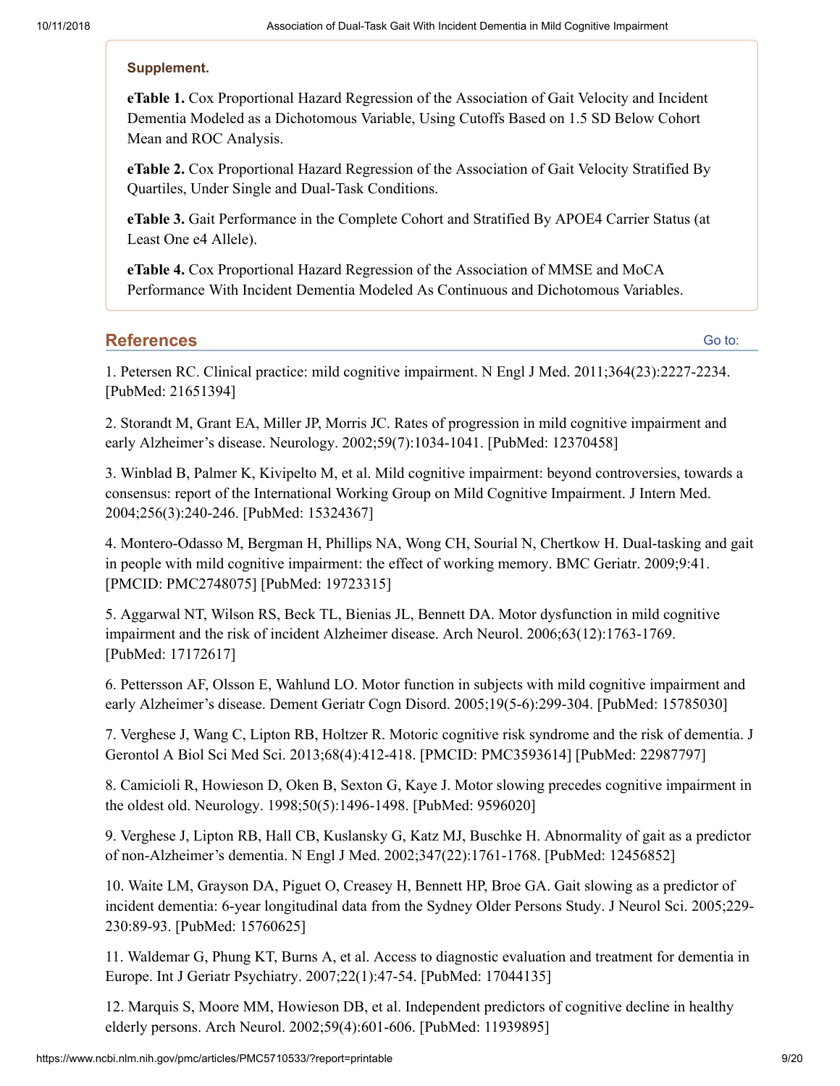#### <span id="page-8-12"></span>**Supplement.**

**eTable 1.** Cox Proportional Hazard Regression of the Association of Gait Velocity and Incident Dementia Modeled as a Dichotomous Variable, Using Cutoffs Based on 1.5 SD Below Cohort Mean and ROC Analysis.

**eTable 2.** Cox Proportional Hazard Regression of the Association of Gait Velocity Stratified By Quartiles, Under Single and Dual-Task Conditions.

**eTable 3.** Gait Performance in the Complete Cohort and Stratified By APOE4 Carrier Status (at Least One e4 Allele).

**eTable 4.** Cox Proportional Hazard Regression of the Association of MMSE and MoCA Performance With Incident Dementia Modeled As Continuous and Dichotomous Variables.

#### **References**

Go to:

<span id="page-8-0"></span>1. Petersen RC. Clinical practice: mild cognitive impairment. N Engl J Med. 2011;364(23):2227-2234. [PubMed: 21651394]

<span id="page-8-1"></span>2. Storandt M, Grant EA, Miller JP, Morris JC. Rates of progression in mild cognitive impairment and early Alzheimer's disease. Neurology. 2002;59(7):1034-1041. [PubMed: 12370458]

<span id="page-8-2"></span>3. Winblad B, Palmer K, Kivipelto M, et al. Mild cognitive impairment: beyond controversies, towards a consensus: report of the International Working Group on Mild Cognitive Impairment. J Intern Med. 2004;256(3):240-246. [PubMed: 15324367]

<span id="page-8-3"></span>4. Montero-Odasso M, Bergman H, Phillips NA, Wong CH, Sourial N, Chertkow H. Dual-tasking and gait in people with mild cognitive impairment: the effect of working memory. BMC Geriatr. 2009;9:41. [PMCID: PMC2748075] [PubMed: 19723315]

<span id="page-8-4"></span>5. Aggarwal NT, Wilson RS, Beck TL, Bienias JL, Bennett DA. Motor dysfunction in mild cognitive impairment and the risk of incident Alzheimer disease. Arch Neurol. 2006;63(12):1763-1769. [PubMed: 17172617]

<span id="page-8-5"></span>6. Pettersson AF, Olsson E, Wahlund LO. Motor function in subjects with mild cognitive impairment and early Alzheimer's disease. Dement Geriatr Cogn Disord. 2005;19(5-6):299-304. [PubMed: 15785030]

<span id="page-8-6"></span>7. Verghese J, Wang C, Lipton RB, Holtzer R. Motoric cognitive risk syndrome and the risk of dementia. J Gerontol A Biol Sci Med Sci. 2013;68(4):412-418. [PMCID: PMC3593614] [PubMed: 22987797]

<span id="page-8-7"></span>8. Camicioli R, Howieson D, Oken B, Sexton G, Kaye J. Motor slowing precedes cognitive impairment in the oldest old. Neurology. 1998;50(5):1496-1498. [PubMed: 9596020]

<span id="page-8-8"></span>9. Verghese J, Lipton RB, Hall CB, Kuslansky G, Katz MJ, Buschke H. Abnormality of gait as a predictor of non-Alzheimer's dementia. N Engl J Med. 2002;347(22):1761-1768. [PubMed: 12456852]

<span id="page-8-9"></span>10. Waite LM, Grayson DA, Piguet O, Creasey H, Bennett HP, Broe GA. Gait slowing as a predictor of incident dementia: 6-year longitudinal data from the Sydney Older Persons Study. J Neurol Sci. 2005;229- 230:89-93. [PubMed: 15760625]

<span id="page-8-10"></span>11. Waldemar G, Phung KT, Burns A, et al. Access to diagnostic evaluation and treatment for dementia in Europe. Int J Geriatr Psychiatry. 2007;22(1):47-54. [PubMed: 17044135]

<span id="page-8-11"></span>12. Marquis S, Moore MM, Howieson DB, et al. Independent predictors of cognitive decline in healthy elderly persons. Arch Neurol. 2002;59(4):601-606. [PubMed: 11939895]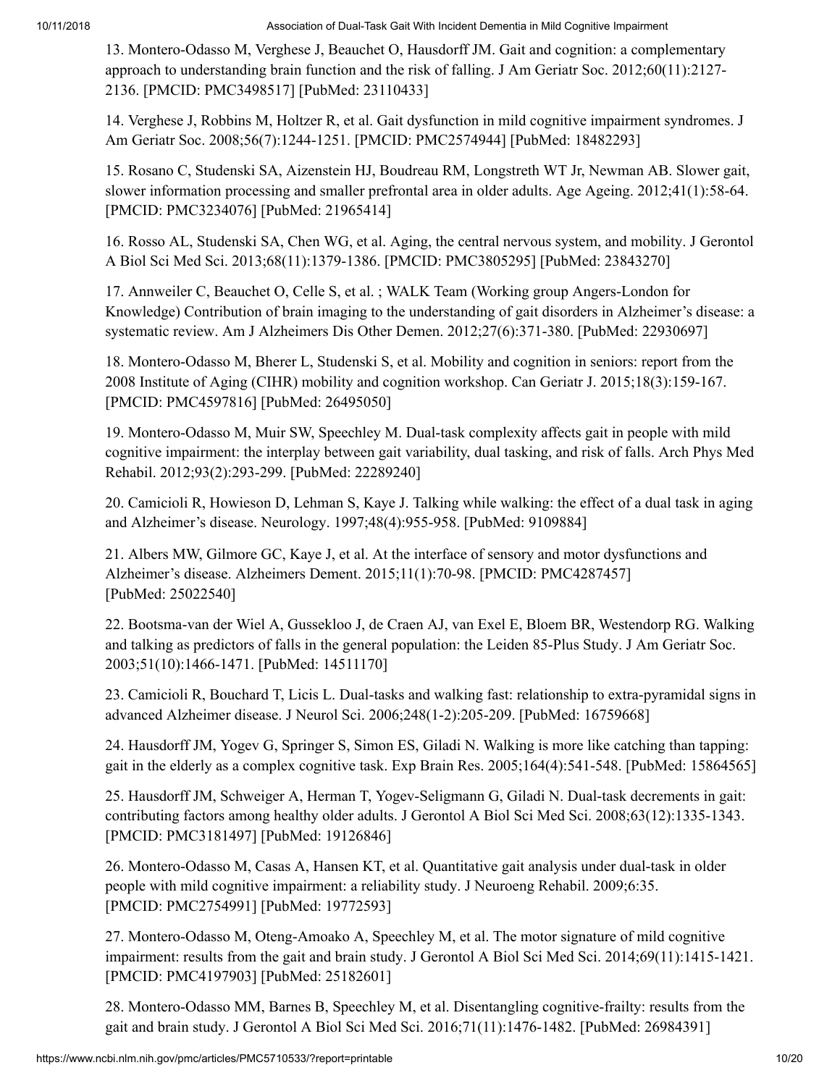<span id="page-9-0"></span>13. Montero-Odasso M, Verghese J, Beauchet O, Hausdorff JM. Gait and cognition: a complementary approach to understanding brain function and the risk of falling. J Am Geriatr Soc. 2012;60(11):2127- 2136. [PMCID: PMC3498517] [PubMed: 23110433]

<span id="page-9-1"></span>14. Verghese J, Robbins M, Holtzer R, et al. Gait dysfunction in mild cognitive impairment syndromes. J Am Geriatr Soc. 2008;56(7):1244-1251. [PMCID: PMC2574944] [PubMed: 18482293]

<span id="page-9-2"></span>15. Rosano C, Studenski SA, Aizenstein HJ, Boudreau RM, Longstreth WT Jr, Newman AB. Slower gait, slower information processing and smaller prefrontal area in older adults. Age Ageing. 2012;41(1):58-64. [PMCID: PMC3234076] [PubMed: 21965414]

<span id="page-9-3"></span>16. Rosso AL, Studenski SA, Chen WG, et al. Aging, the central nervous system, and mobility. J Gerontol A Biol Sci Med Sci. 2013;68(11):1379-1386. [PMCID: PMC3805295] [PubMed: 23843270]

<span id="page-9-4"></span>17. Annweiler C, Beauchet O, Celle S, et al. ; WALK Team (Working group Angers-London for Knowledge) Contribution of brain imaging to the understanding of gait disorders in Alzheimer's disease: a systematic review. Am J Alzheimers Dis Other Demen. 2012;27(6):371-380. [PubMed: 22930697]

<span id="page-9-5"></span>18. Montero-Odasso M, Bherer L, Studenski S, et al. Mobility and cognition in seniors: report from the 2008 Institute of Aging (CIHR) mobility and cognition workshop. Can Geriatr J. 2015;18(3):159-167. [PMCID: PMC4597816] [PubMed: 26495050]

<span id="page-9-6"></span>19. Montero-Odasso M, Muir SW, Speechley M. Dual-task complexity affects gait in people with mild cognitive impairment: the interplay between gait variability, dual tasking, and risk of falls. Arch Phys Med Rehabil. 2012;93(2):293-299. [PubMed: 22289240]

<span id="page-9-7"></span>20. Camicioli R, Howieson D, Lehman S, Kaye J. Talking while walking: the effect of a dual task in aging and Alzheimer's disease. Neurology. 1997;48(4):955-958. [PubMed: 9109884]

<span id="page-9-8"></span>21. Albers MW, Gilmore GC, Kaye J, et al. At the interface of sensory and motor dysfunctions and Alzheimer's disease. Alzheimers Dement. 2015;11(1):70-98. [PMCID: PMC4287457] [PubMed: 25022540]

<span id="page-9-9"></span>22. Bootsma-van der Wiel A, Gussekloo J, de Craen AJ, van Exel E, Bloem BR, Westendorp RG. Walking and talking as predictors of falls in the general population: the Leiden 85-Plus Study. J Am Geriatr Soc. 2003;51(10):1466-1471. [PubMed: 14511170]

<span id="page-9-10"></span>23. Camicioli R, Bouchard T, Licis L. Dual-tasks and walking fast: relationship to extra-pyramidal signs in advanced Alzheimer disease. J Neurol Sci. 2006;248(1-2):205-209. [PubMed: 16759668]

<span id="page-9-11"></span>24. Hausdorff JM, Yogev G, Springer S, Simon ES, Giladi N. Walking is more like catching than tapping: gait in the elderly as a complex cognitive task. Exp Brain Res. 2005;164(4):541-548. [PubMed: 15864565]

<span id="page-9-12"></span>25. Hausdorff JM, Schweiger A, Herman T, Yogev-Seligmann G, Giladi N. Dual-task decrements in gait: contributing factors among healthy older adults. J Gerontol A Biol Sci Med Sci. 2008;63(12):1335-1343. [PMCID: PMC3181497] [PubMed: 19126846]

<span id="page-9-13"></span>26. Montero-Odasso M, Casas A, Hansen KT, et al. Quantitative gait analysis under dual-task in older people with mild cognitive impairment: a reliability study. J Neuroeng Rehabil. 2009;6:35. [PMCID: PMC2754991] [PubMed: 19772593]

<span id="page-9-14"></span>27. Montero-Odasso M, Oteng-Amoako A, Speechley M, et al. The motor signature of mild cognitive impairment: results from the gait and brain study. J Gerontol A Biol Sci Med Sci. 2014;69(11):1415-1421. [PMCID: PMC4197903] [PubMed: 25182601]

<span id="page-9-15"></span>28. Montero-Odasso MM, Barnes B, Speechley M, et al. Disentangling cognitive-frailty: results from the gait and brain study. J Gerontol A Biol Sci Med Sci. 2016;71(11):1476-1482. [PubMed: 26984391]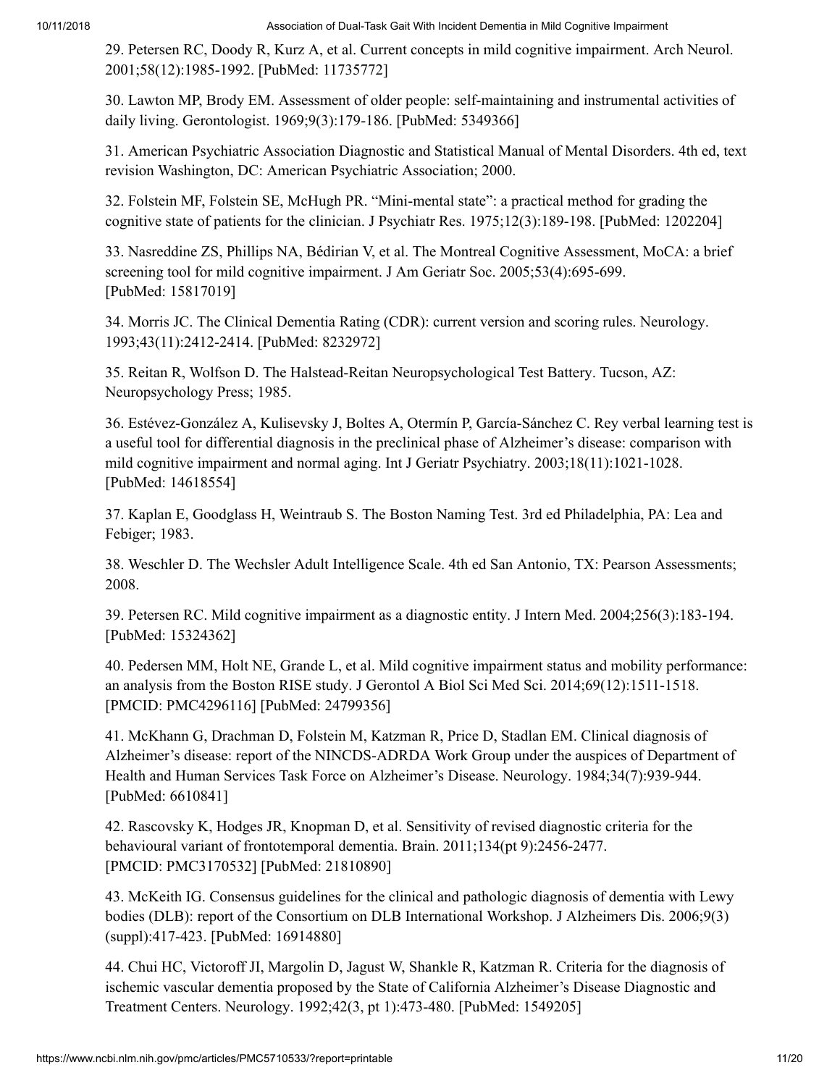<span id="page-10-0"></span>29. Petersen RC, Doody R, Kurz A, et al. Current concepts in mild cognitive impairment. Arch Neurol. 2001;58(12):1985-1992. [PubMed: 11735772]

<span id="page-10-1"></span>30. Lawton MP, Brody EM. Assessment of older people: self-maintaining and instrumental activities of daily living. Gerontologist. 1969;9(3):179-186. [PubMed: 5349366]

<span id="page-10-2"></span>31. American Psychiatric Association Diagnostic and Statistical Manual of Mental Disorders. 4th ed, text revision Washington, DC: American Psychiatric Association; 2000.

<span id="page-10-3"></span>32. Folstein MF, Folstein SE, McHugh PR. "Mini-mental state": a practical method for grading the cognitive state of patients for the clinician. J Psychiatr Res. 1975;12(3):189-198. [PubMed: 1202204]

<span id="page-10-4"></span>33. Nasreddine ZS, Phillips NA, Bédirian V, et al. The Montreal Cognitive Assessment, MoCA: a brief screening tool for mild cognitive impairment. J Am Geriatr Soc. 2005;53(4):695-699. [PubMed: 15817019]

<span id="page-10-5"></span>34. Morris JC. The Clinical Dementia Rating (CDR): current version and scoring rules. Neurology. 1993;43(11):2412-2414. [PubMed: 8232972]

<span id="page-10-6"></span>35. Reitan R, Wolfson D. The Halstead-Reitan Neuropsychological Test Battery. Tucson, AZ: Neuropsychology Press; 1985.

<span id="page-10-7"></span>36. Estévez-González A, Kulisevsky J, Boltes A, Otermín P, García-Sánchez C. Rey verbal learning test is a useful tool for differential diagnosis in the preclinical phase of Alzheimer's disease: comparison with mild cognitive impairment and normal aging. Int J Geriatr Psychiatry. 2003;18(11):1021-1028. [PubMed: 14618554]

<span id="page-10-8"></span>37. Kaplan E, Goodglass H, Weintraub S. The Boston Naming Test. 3rd ed Philadelphia, PA: Lea and Febiger; 1983.

<span id="page-10-9"></span>38. Weschler D. The Wechsler Adult Intelligence Scale. 4th ed San Antonio, TX: Pearson Assessments; 2008.

<span id="page-10-10"></span>39. Petersen RC. Mild cognitive impairment as a diagnostic entity. J Intern Med. 2004;256(3):183-194. [PubMed: 15324362]

<span id="page-10-11"></span>40. Pedersen MM, Holt NE, Grande L, et al. Mild cognitive impairment status and mobility performance: an analysis from the Boston RISE study. J Gerontol A Biol Sci Med Sci. 2014;69(12):1511-1518. [PMCID: PMC4296116] [PubMed: 24799356]

<span id="page-10-12"></span>41. McKhann G, Drachman D, Folstein M, Katzman R, Price D, Stadlan EM. Clinical diagnosis of Alzheimer's disease: report of the NINCDS-ADRDA Work Group under the auspices of Department of Health and Human Services Task Force on Alzheimer's Disease. Neurology. 1984;34(7):939-944. [PubMed: 6610841]

<span id="page-10-13"></span>42. Rascovsky K, Hodges JR, Knopman D, et al. Sensitivity of revised diagnostic criteria for the behavioural variant of frontotemporal dementia. Brain. 2011;134(pt 9):2456-2477. [PMCID: PMC3170532] [PubMed: 21810890]

<span id="page-10-14"></span>43. McKeith IG. Consensus guidelines for the clinical and pathologic diagnosis of dementia with Lewy bodies (DLB): report of the Consortium on DLB International Workshop. J Alzheimers Dis. 2006;9(3) (suppl):417-423. [PubMed: 16914880]

<span id="page-10-15"></span>44. Chui HC, Victoroff JI, Margolin D, Jagust W, Shankle R, Katzman R. Criteria for the diagnosis of ischemic vascular dementia proposed by the State of California Alzheimer's Disease Diagnostic and Treatment Centers. Neurology. 1992;42(3, pt 1):473-480. [PubMed: 1549205]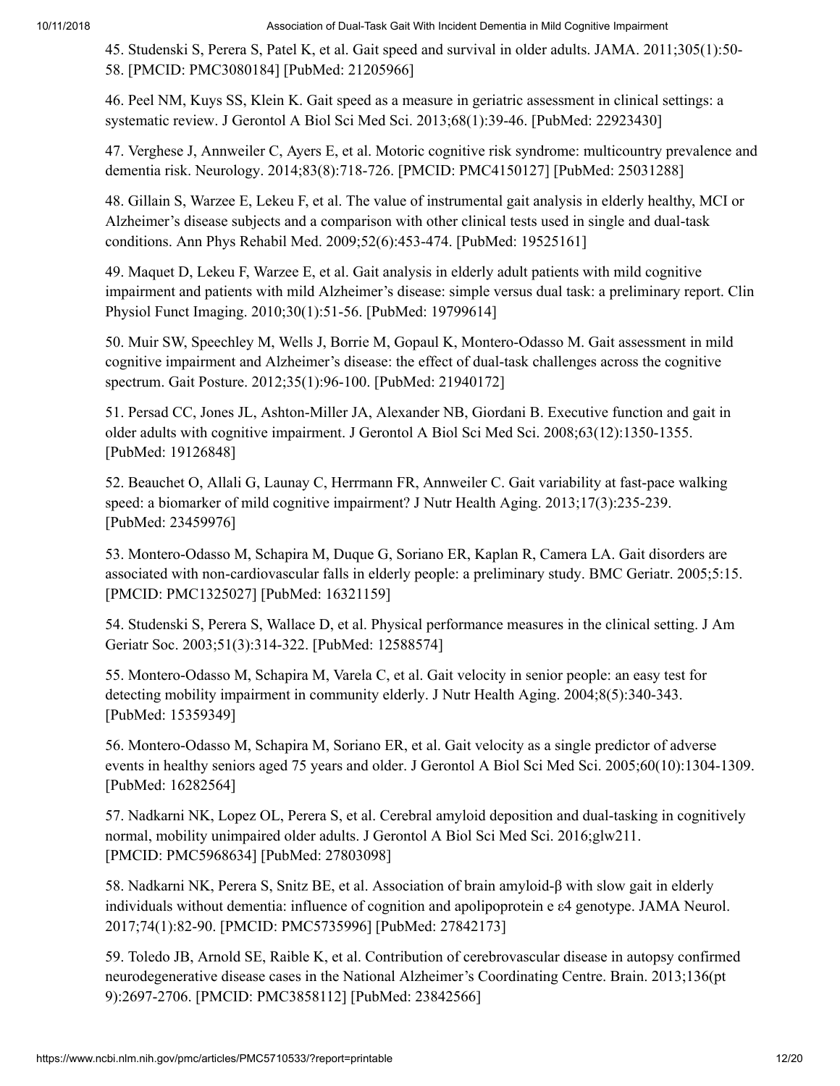<span id="page-11-0"></span>45. Studenski S, Perera S, Patel K, et al. Gait speed and survival in older adults. JAMA. 2011;305(1):50- 58. [PMCID: PMC3080184] [PubMed: 21205966]

<span id="page-11-1"></span>46. Peel NM, Kuys SS, Klein K. Gait speed as a measure in geriatric assessment in clinical settings: a systematic review. J Gerontol A Biol Sci Med Sci. 2013;68(1):39-46. [PubMed: 22923430]

<span id="page-11-2"></span>47. Verghese J, Annweiler C, Ayers E, et al. Motoric cognitive risk syndrome: multicountry prevalence and dementia risk. Neurology. 2014;83(8):718-726. [PMCID: PMC4150127] [PubMed: 25031288]

<span id="page-11-3"></span>48. Gillain S, Warzee E, Lekeu F, et al. The value of instrumental gait analysis in elderly healthy, MCI or Alzheimer's disease subjects and a comparison with other clinical tests used in single and dual-task conditions. Ann Phys Rehabil Med. 2009;52(6):453-474. [PubMed: 19525161]

<span id="page-11-4"></span>49. Maquet D, Lekeu F, Warzee E, et al. Gait analysis in elderly adult patients with mild cognitive impairment and patients with mild Alzheimer's disease: simple versus dual task: a preliminary report. Clin Physiol Funct Imaging. 2010;30(1):51-56. [PubMed: 19799614]

<span id="page-11-5"></span>50. Muir SW, Speechley M, Wells J, Borrie M, Gopaul K, Montero-Odasso M. Gait assessment in mild cognitive impairment and Alzheimer's disease: the effect of dual-task challenges across the cognitive spectrum. Gait Posture. 2012;35(1):96-100. [PubMed: 21940172]

<span id="page-11-6"></span>51. Persad CC, Jones JL, Ashton-Miller JA, Alexander NB, Giordani B. Executive function and gait in older adults with cognitive impairment. J Gerontol A Biol Sci Med Sci. 2008;63(12):1350-1355. [PubMed: 19126848]

<span id="page-11-7"></span>52. Beauchet O, Allali G, Launay C, Herrmann FR, Annweiler C. Gait variability at fast-pace walking speed: a biomarker of mild cognitive impairment? J Nutr Health Aging. 2013;17(3):235-239. [PubMed: 23459976]

<span id="page-11-8"></span>53. Montero-Odasso M, Schapira M, Duque G, Soriano ER, Kaplan R, Camera LA. Gait disorders are associated with non-cardiovascular falls in elderly people: a preliminary study. BMC Geriatr. 2005;5:15. [PMCID: PMC1325027] [PubMed: 16321159]

<span id="page-11-9"></span>54. Studenski S, Perera S, Wallace D, et al. Physical performance measures in the clinical setting. J Am Geriatr Soc. 2003;51(3):314-322. [PubMed: 12588574]

<span id="page-11-10"></span>55. Montero-Odasso M, Schapira M, Varela C, et al. Gait velocity in senior people: an easy test for detecting mobility impairment in community elderly. J Nutr Health Aging. 2004;8(5):340-343. [PubMed: 15359349]

<span id="page-11-11"></span>56. Montero-Odasso M, Schapira M, Soriano ER, et al. Gait velocity as a single predictor of adverse events in healthy seniors aged 75 years and older. J Gerontol A Biol Sci Med Sci. 2005;60(10):1304-1309. [PubMed: 16282564]

<span id="page-11-12"></span>57. Nadkarni NK, Lopez OL, Perera S, et al. Cerebral amyloid deposition and dual-tasking in cognitively normal, mobility unimpaired older adults. J Gerontol A Biol Sci Med Sci. 2016;glw211. [PMCID: PMC5968634] [PubMed: 27803098]

<span id="page-11-13"></span>58. Nadkarni NK, Perera S, Snitz BE, et al. Association of brain amyloid-β with slow gait in elderly individuals without dementia: influence of cognition and apolipoprotein e ε4 genotype. JAMA Neurol. 2017;74(1):82-90. [PMCID: PMC5735996] [PubMed: 27842173]

<span id="page-11-14"></span>59. Toledo JB, Arnold SE, Raible K, et al. Contribution of cerebrovascular disease in autopsy confirmed neurodegenerative disease cases in the National Alzheimer's Coordinating Centre. Brain. 2013;136(pt 9):2697-2706. [PMCID: PMC3858112] [PubMed: 23842566]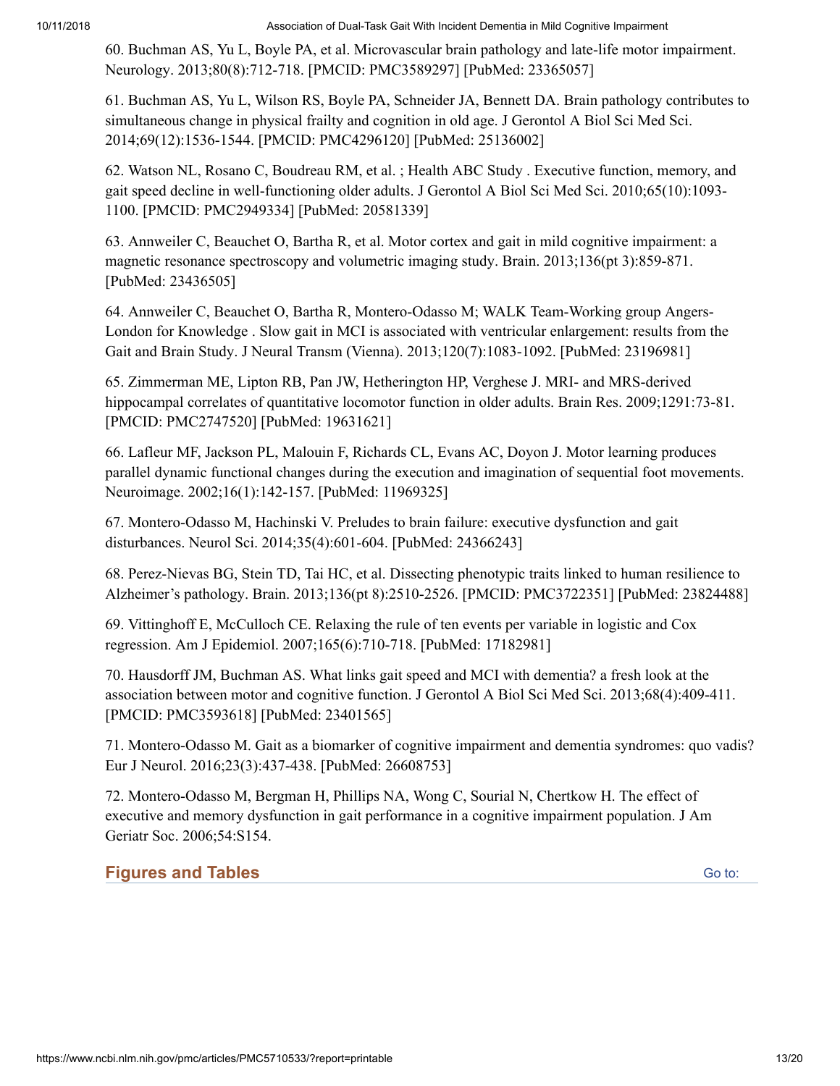<span id="page-12-0"></span>60. Buchman AS, Yu L, Boyle PA, et al. Microvascular brain pathology and late-life motor impairment. Neurology. 2013;80(8):712-718. [PMCID: PMC3589297] [PubMed: 23365057]

<span id="page-12-1"></span>61. Buchman AS, Yu L, Wilson RS, Boyle PA, Schneider JA, Bennett DA. Brain pathology contributes to simultaneous change in physical frailty and cognition in old age. J Gerontol A Biol Sci Med Sci. 2014;69(12):1536-1544. [PMCID: PMC4296120] [PubMed: 25136002]

<span id="page-12-2"></span>62. Watson NL, Rosano C, Boudreau RM, et al. ; Health ABC Study . Executive function, memory, and gait speed decline in well-functioning older adults. J Gerontol A Biol Sci Med Sci. 2010;65(10):1093- 1100. [PMCID: PMC2949334] [PubMed: 20581339]

<span id="page-12-3"></span>63. Annweiler C, Beauchet O, Bartha R, et al. Motor cortex and gait in mild cognitive impairment: a magnetic resonance spectroscopy and volumetric imaging study. Brain. 2013;136(pt 3):859-871. [PubMed: 23436505]

<span id="page-12-4"></span>64. Annweiler C, Beauchet O, Bartha R, Montero-Odasso M; WALK Team-Working group Angers-London for Knowledge . Slow gait in MCI is associated with ventricular enlargement: results from the Gait and Brain Study. J Neural Transm (Vienna). 2013;120(7):1083-1092. [PubMed: 23196981]

<span id="page-12-5"></span>65. Zimmerman ME, Lipton RB, Pan JW, Hetherington HP, Verghese J. MRI- and MRS-derived hippocampal correlates of quantitative locomotor function in older adults. Brain Res. 2009;1291:73-81. [PMCID: PMC2747520] [PubMed: 19631621]

<span id="page-12-6"></span>66. Lafleur MF, Jackson PL, Malouin F, Richards CL, Evans AC, Doyon J. Motor learning produces parallel dynamic functional changes during the execution and imagination of sequential foot movements. Neuroimage. 2002;16(1):142-157. [PubMed: 11969325]

<span id="page-12-7"></span>67. Montero-Odasso M, Hachinski V. Preludes to brain failure: executive dysfunction and gait disturbances. Neurol Sci. 2014;35(4):601-604. [PubMed: 24366243]

<span id="page-12-8"></span>68. Perez-Nievas BG, Stein TD, Tai HC, et al. Dissecting phenotypic traits linked to human resilience to Alzheimer's pathology. Brain. 2013;136(pt 8):2510-2526. [PMCID: PMC3722351] [PubMed: 23824488]

<span id="page-12-9"></span>69. Vittinghoff E, McCulloch CE. Relaxing the rule of ten events per variable in logistic and Cox regression. Am J Epidemiol. 2007;165(6):710-718. [PubMed: 17182981]

<span id="page-12-10"></span>70. Hausdorff JM, Buchman AS. What links gait speed and MCI with dementia? a fresh look at the association between motor and cognitive function. J Gerontol A Biol Sci Med Sci. 2013;68(4):409-411. [PMCID: PMC3593618] [PubMed: 23401565]

<span id="page-12-11"></span>71. Montero-Odasso M. Gait as a biomarker of cognitive impairment and dementia syndromes: quo vadis? Eur J Neurol. 2016;23(3):437-438. [PubMed: 26608753]

<span id="page-12-12"></span>72. Montero-Odasso M, Bergman H, Phillips NA, Wong C, Sourial N, Chertkow H. The effect of executive and memory dysfunction in gait performance in a cognitive impairment population. J Am Geriatr Soc. 2006;54:S154.

## **Figures and Tables**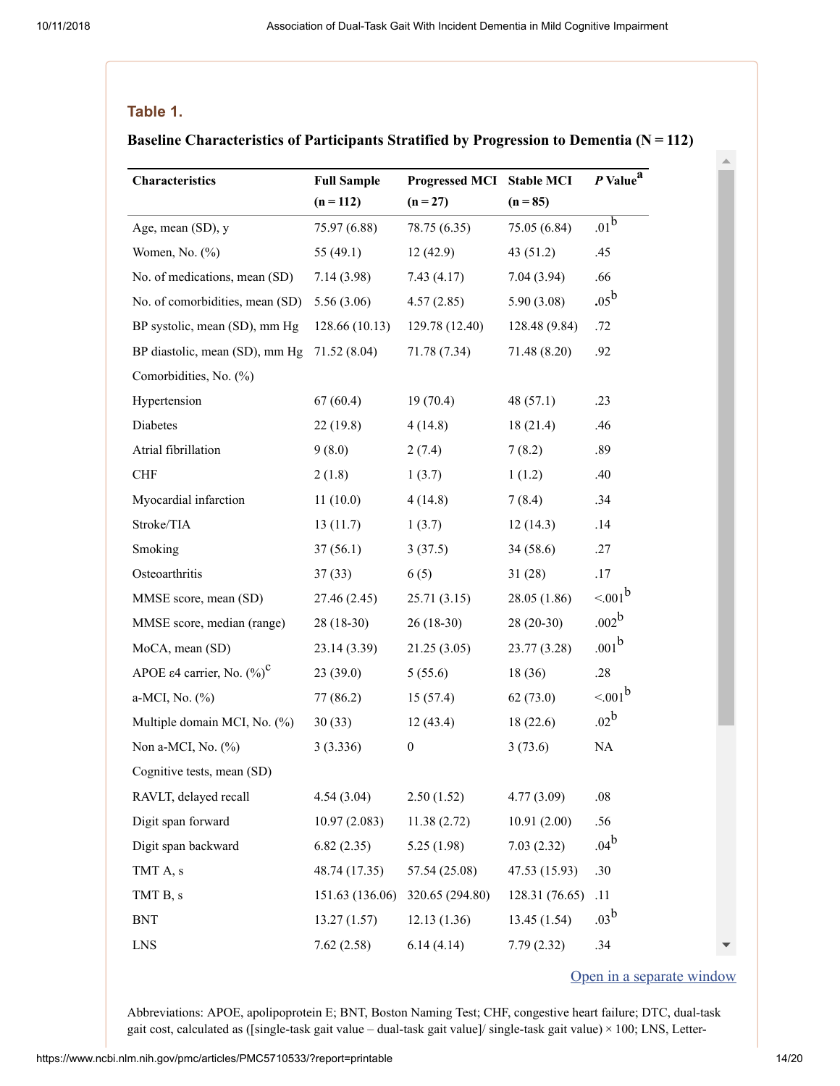#### **Table 1.**

#### **Baseline Characteristics of Participants Stratified by Progression to Dementia (N = 112)**

| $(n = 112)$<br>$(n = 85)$<br>$(n = 27)$<br>$.01^{\overline{\mathbf{b}}}$<br>Age, mean (SD), y<br>75.97 (6.88)<br>78.75 (6.35)<br>75.05 (6.84)<br>Women, No. (%)<br>43(51.2)<br>.45<br>55 $(49.1)$<br>12(42.9)<br>No. of medications, mean (SD)<br>.66<br>7.14(3.98)<br>7.43(4.17)<br>7.04(3.94)<br>$.05^{\rm b}$<br>No. of comorbidities, mean (SD)<br>5.56(3.06)<br>4.57(2.85)<br>5.90(3.08)<br>BP systolic, mean (SD), mm Hg<br>128.66 (10.13)<br>128.48 (9.84)<br>.72<br>129.78 (12.40)<br>BP diastolic, mean (SD), mm Hg<br>71.52(8.04)<br>71.78 (7.34)<br>71.48 (8.20)<br>.92<br>Comorbidities, No. (%)<br>Hypertension<br>67(60.4)<br>19(70.4)<br>48 $(57.1)$<br>.23<br>Diabetes<br>22(19.8)<br>18(21.4)<br>.46<br>4(14.8)<br>Atrial fibrillation<br>.89<br>9(8.0)<br>2(7.4)<br>7(8.2)<br><b>CHF</b><br>.40<br>2(1.8)<br>1(3.7)<br>1(1.2)<br>Myocardial infarction<br>11(10.0)<br>4(14.8)<br>7(8.4)<br>.34<br>Stroke/TIA<br>.14<br>13(11.7)<br>1(3.7)<br>12(14.3)<br>Smoking<br>34(58.6)<br>37(56.1)<br>3(37.5)<br>.27<br>Osteoarthritis<br>31(28)<br>.17<br>37(33)<br>6(5)<br>$< 001^b$<br>28.05 (1.86)<br>MMSE score, mean (SD)<br>27.46(2.45)<br>25.71(3.15)<br>.002 <sup>b</sup><br>$28(20-30)$<br>MMSE score, median (range)<br>$26(18-30)$<br>$28(18-30)$<br>$.001^{b}$<br>MoCA, mean (SD)<br>21.25(3.05)<br>23.77(3.28)<br>23.14(3.39)<br>APOE $\varepsilon$ 4 carrier, No. $(\%)^{\mathbb{C}}$<br>.28<br>23(39.0)<br>18 (36)<br>5(55.6)<br>$< 001^b$<br>a-MCI, No. (%)<br>62(73.0)<br>77 (86.2)<br>15(57.4) |
|---------------------------------------------------------------------------------------------------------------------------------------------------------------------------------------------------------------------------------------------------------------------------------------------------------------------------------------------------------------------------------------------------------------------------------------------------------------------------------------------------------------------------------------------------------------------------------------------------------------------------------------------------------------------------------------------------------------------------------------------------------------------------------------------------------------------------------------------------------------------------------------------------------------------------------------------------------------------------------------------------------------------------------------------------------------------------------------------------------------------------------------------------------------------------------------------------------------------------------------------------------------------------------------------------------------------------------------------------------------------------------------------------------------------------------------------------------------------------------------------------------------------------|
|                                                                                                                                                                                                                                                                                                                                                                                                                                                                                                                                                                                                                                                                                                                                                                                                                                                                                                                                                                                                                                                                                                                                                                                                                                                                                                                                                                                                                                                                                                                           |
|                                                                                                                                                                                                                                                                                                                                                                                                                                                                                                                                                                                                                                                                                                                                                                                                                                                                                                                                                                                                                                                                                                                                                                                                                                                                                                                                                                                                                                                                                                                           |
|                                                                                                                                                                                                                                                                                                                                                                                                                                                                                                                                                                                                                                                                                                                                                                                                                                                                                                                                                                                                                                                                                                                                                                                                                                                                                                                                                                                                                                                                                                                           |
|                                                                                                                                                                                                                                                                                                                                                                                                                                                                                                                                                                                                                                                                                                                                                                                                                                                                                                                                                                                                                                                                                                                                                                                                                                                                                                                                                                                                                                                                                                                           |
|                                                                                                                                                                                                                                                                                                                                                                                                                                                                                                                                                                                                                                                                                                                                                                                                                                                                                                                                                                                                                                                                                                                                                                                                                                                                                                                                                                                                                                                                                                                           |
|                                                                                                                                                                                                                                                                                                                                                                                                                                                                                                                                                                                                                                                                                                                                                                                                                                                                                                                                                                                                                                                                                                                                                                                                                                                                                                                                                                                                                                                                                                                           |
|                                                                                                                                                                                                                                                                                                                                                                                                                                                                                                                                                                                                                                                                                                                                                                                                                                                                                                                                                                                                                                                                                                                                                                                                                                                                                                                                                                                                                                                                                                                           |
|                                                                                                                                                                                                                                                                                                                                                                                                                                                                                                                                                                                                                                                                                                                                                                                                                                                                                                                                                                                                                                                                                                                                                                                                                                                                                                                                                                                                                                                                                                                           |
|                                                                                                                                                                                                                                                                                                                                                                                                                                                                                                                                                                                                                                                                                                                                                                                                                                                                                                                                                                                                                                                                                                                                                                                                                                                                                                                                                                                                                                                                                                                           |
|                                                                                                                                                                                                                                                                                                                                                                                                                                                                                                                                                                                                                                                                                                                                                                                                                                                                                                                                                                                                                                                                                                                                                                                                                                                                                                                                                                                                                                                                                                                           |
|                                                                                                                                                                                                                                                                                                                                                                                                                                                                                                                                                                                                                                                                                                                                                                                                                                                                                                                                                                                                                                                                                                                                                                                                                                                                                                                                                                                                                                                                                                                           |
|                                                                                                                                                                                                                                                                                                                                                                                                                                                                                                                                                                                                                                                                                                                                                                                                                                                                                                                                                                                                                                                                                                                                                                                                                                                                                                                                                                                                                                                                                                                           |
|                                                                                                                                                                                                                                                                                                                                                                                                                                                                                                                                                                                                                                                                                                                                                                                                                                                                                                                                                                                                                                                                                                                                                                                                                                                                                                                                                                                                                                                                                                                           |
|                                                                                                                                                                                                                                                                                                                                                                                                                                                                                                                                                                                                                                                                                                                                                                                                                                                                                                                                                                                                                                                                                                                                                                                                                                                                                                                                                                                                                                                                                                                           |
|                                                                                                                                                                                                                                                                                                                                                                                                                                                                                                                                                                                                                                                                                                                                                                                                                                                                                                                                                                                                                                                                                                                                                                                                                                                                                                                                                                                                                                                                                                                           |
|                                                                                                                                                                                                                                                                                                                                                                                                                                                                                                                                                                                                                                                                                                                                                                                                                                                                                                                                                                                                                                                                                                                                                                                                                                                                                                                                                                                                                                                                                                                           |
|                                                                                                                                                                                                                                                                                                                                                                                                                                                                                                                                                                                                                                                                                                                                                                                                                                                                                                                                                                                                                                                                                                                                                                                                                                                                                                                                                                                                                                                                                                                           |
|                                                                                                                                                                                                                                                                                                                                                                                                                                                                                                                                                                                                                                                                                                                                                                                                                                                                                                                                                                                                                                                                                                                                                                                                                                                                                                                                                                                                                                                                                                                           |
|                                                                                                                                                                                                                                                                                                                                                                                                                                                                                                                                                                                                                                                                                                                                                                                                                                                                                                                                                                                                                                                                                                                                                                                                                                                                                                                                                                                                                                                                                                                           |
|                                                                                                                                                                                                                                                                                                                                                                                                                                                                                                                                                                                                                                                                                                                                                                                                                                                                                                                                                                                                                                                                                                                                                                                                                                                                                                                                                                                                                                                                                                                           |
|                                                                                                                                                                                                                                                                                                                                                                                                                                                                                                                                                                                                                                                                                                                                                                                                                                                                                                                                                                                                                                                                                                                                                                                                                                                                                                                                                                                                                                                                                                                           |
| .02 <sup>b</sup><br>Multiple domain MCI, No. (%)<br>12(43.4)<br>18(22.6)<br>30(33)                                                                                                                                                                                                                                                                                                                                                                                                                                                                                                                                                                                                                                                                                                                                                                                                                                                                                                                                                                                                                                                                                                                                                                                                                                                                                                                                                                                                                                        |
| $\rm NA$<br>Non a-MCI, No. (%)<br>3(3.336)<br>3(73.6)<br>$\boldsymbol{0}$                                                                                                                                                                                                                                                                                                                                                                                                                                                                                                                                                                                                                                                                                                                                                                                                                                                                                                                                                                                                                                                                                                                                                                                                                                                                                                                                                                                                                                                 |
| Cognitive tests, mean (SD)                                                                                                                                                                                                                                                                                                                                                                                                                                                                                                                                                                                                                                                                                                                                                                                                                                                                                                                                                                                                                                                                                                                                                                                                                                                                                                                                                                                                                                                                                                |
| RAVLT, delayed recall<br>4.54(3.04)<br>2.50(1.52)<br>4.77(3.09)<br>.08                                                                                                                                                                                                                                                                                                                                                                                                                                                                                                                                                                                                                                                                                                                                                                                                                                                                                                                                                                                                                                                                                                                                                                                                                                                                                                                                                                                                                                                    |
| Digit span forward<br>.56<br>10.91(2.00)<br>10.97(2.083)<br>11.38(2.72)                                                                                                                                                                                                                                                                                                                                                                                                                                                                                                                                                                                                                                                                                                                                                                                                                                                                                                                                                                                                                                                                                                                                                                                                                                                                                                                                                                                                                                                   |
| .04 <sup>b</sup><br>Digit span backward<br>7.03(2.32)<br>6.82(2.35)<br>5.25(1.98)                                                                                                                                                                                                                                                                                                                                                                                                                                                                                                                                                                                                                                                                                                                                                                                                                                                                                                                                                                                                                                                                                                                                                                                                                                                                                                                                                                                                                                         |
| .30<br>TMT A, s<br>57.54 (25.08)<br>47.53 (15.93)<br>48.74 (17.35)                                                                                                                                                                                                                                                                                                                                                                                                                                                                                                                                                                                                                                                                                                                                                                                                                                                                                                                                                                                                                                                                                                                                                                                                                                                                                                                                                                                                                                                        |
| .11<br>TMT B, s<br>151.63 (136.06)<br>320.65 (294.80)<br>128.31 (76.65)                                                                                                                                                                                                                                                                                                                                                                                                                                                                                                                                                                                                                                                                                                                                                                                                                                                                                                                                                                                                                                                                                                                                                                                                                                                                                                                                                                                                                                                   |
| .03 <sup>b</sup><br>12.13(1.36)<br>13.45 (1.54)<br><b>BNT</b><br>13.27(1.57)                                                                                                                                                                                                                                                                                                                                                                                                                                                                                                                                                                                                                                                                                                                                                                                                                                                                                                                                                                                                                                                                                                                                                                                                                                                                                                                                                                                                                                              |
| .34<br><b>LNS</b><br>7.62(2.58)<br>6.14(4.14)<br>7.79(2.32)                                                                                                                                                                                                                                                                                                                                                                                                                                                                                                                                                                                                                                                                                                                                                                                                                                                                                                                                                                                                                                                                                                                                                                                                                                                                                                                                                                                                                                                               |

#### Open in a [separate](https://www.ncbi.nlm.nih.gov/pmc/articles/PMC5710533/table/noi170018t1/?report=objectonly) window

 $\Delta$ 

Abbreviations: APOE, apolipoprotein E; BNT, Boston Naming Test; CHF, congestive heart failure; DTC, dual-task gait cost, calculated as ([single-task gait value – dual-task gait value]/ single-task gait value) × 100; LNS, Letter-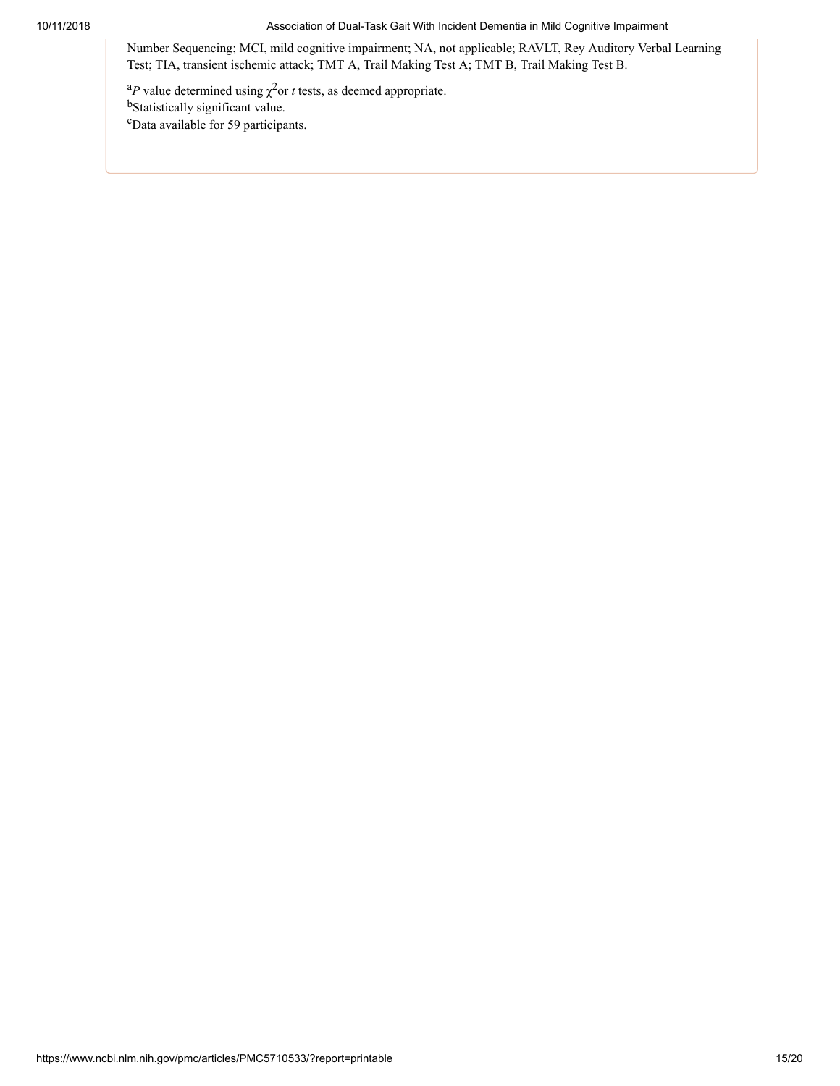Number Sequencing; MCI, mild cognitive impairment; NA, not applicable; RAVLT, Rey Auditory Verbal Learning Test; TIA, transient ischemic attack; TMT A, Trail Making Test A; TMT B, Trail Making Test B.

<sup>a</sup>P value determined using  $\chi^2$  or *t* tests, as deemed appropriate. bStatistically significant value. <sup>c</sup>Data available for 59 participants.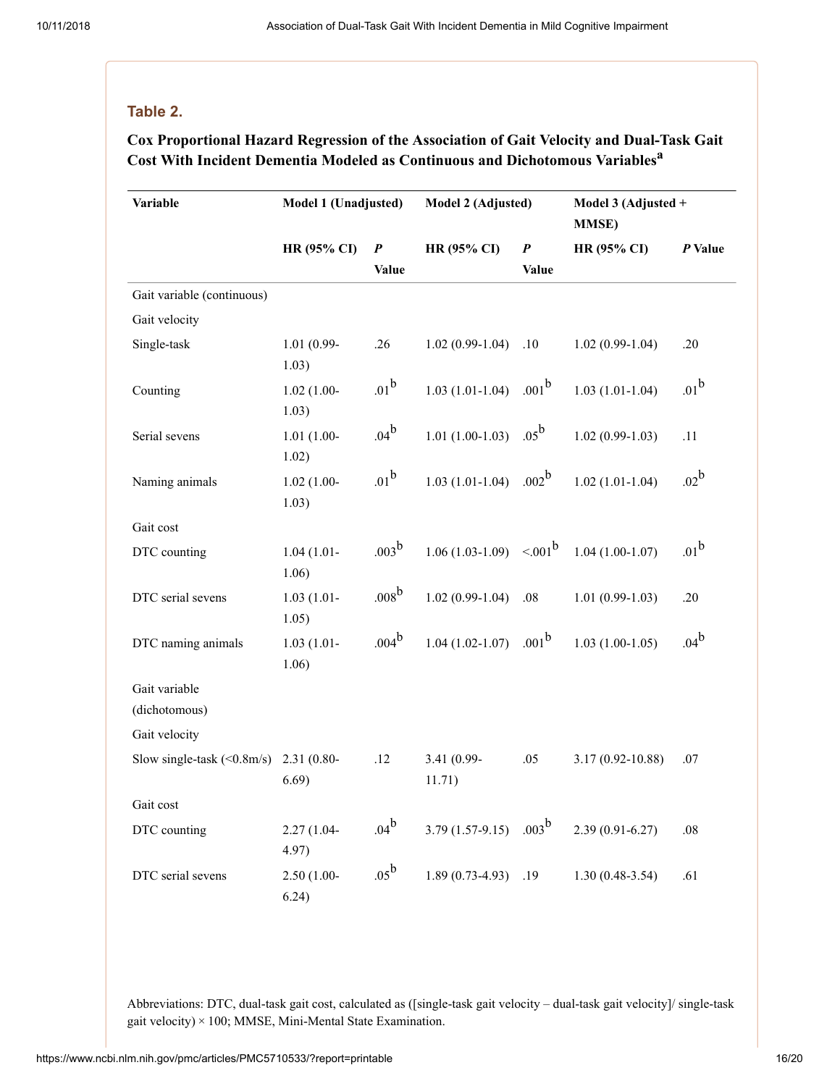#### **Table 2.**

### **Cox Proportional Hazard Regression of the Association of Gait Velocity and Dual-Task Gait Cost With Incident Dementia Modeled as Continuous and Dichotomous Variables a**

| Variable                            | Model 1 (Unadjusted)   | Model 2 (Adjusted) |                       |                   | Model 3 (Adjusted +<br><b>MMSE)</b> |                  |
|-------------------------------------|------------------------|--------------------|-----------------------|-------------------|-------------------------------------|------------------|
|                                     | <b>HR (95% CI)</b>     | $\boldsymbol{P}$   | HR (95% CI)           | $\pmb{P}$         | HR (95% CI)                         | P Value          |
|                                     |                        | <b>Value</b>       |                       | <b>Value</b>      |                                     |                  |
| Gait variable (continuous)          |                        |                    |                       |                   |                                     |                  |
| Gait velocity                       |                        |                    |                       |                   |                                     |                  |
| Single-task                         | 1.01 (0.99-            | .26                | $1.02(0.99-1.04)$     | .10               | $1.02(0.99-1.04)$                   | .20              |
|                                     | 1.03)                  | .01 <sup>b</sup>   |                       | .001 <sup>b</sup> |                                     | .01 <sup>b</sup> |
| Counting                            | $1.02(1.00-$<br>1.03)  |                    | $1.03(1.01-1.04)$     |                   | $1.03(1.01-1.04)$                   |                  |
| Serial sevens                       | $1.01(1.00-$<br>1.02)  | $.04^{b}$          | $1.01(1.00-1.03)$     | $.05^{\rm b}$     | $1.02(0.99-1.03)$                   | .11              |
| Naming animals                      | $1.02(1.00 -$<br>1.03) | $.01^{\rm b}$      | $1.03(1.01-1.04)$     | .002 <sup>b</sup> | $1.02(1.01-1.04)$                   | $.02^b$          |
| Gait cost                           |                        |                    |                       |                   |                                     |                  |
| DTC counting                        | $1.04(1.01 -$<br>1.06) | $.003^{\rm b}$     | $1.06(1.03-1.09)$     | $< .001^b$        | $1.04(1.00-1.07)$                   | .01 <sup>b</sup> |
| DTC serial sevens                   | $1.03(1.01 -$<br>1.05) | .008 <sup>b</sup>  | $1.02(0.99-1.04)$     | .08               | $1.01(0.99-1.03)$                   | .20              |
| DTC naming animals                  | $1.03(1.01 -$<br>1.06) | $.004^{b}$         | $1.04(1.02 - 1.07)$   | .001 <sup>b</sup> | $1.03(1.00-1.05)$                   | .04 <sup>b</sup> |
| Gait variable<br>(dichotomous)      |                        |                    |                       |                   |                                     |                  |
| Gait velocity                       |                        |                    |                       |                   |                                     |                  |
| Slow single-task $(0.8 \text{m/s})$ | $2.31(0.80 -$<br>6.69) | .12                | 3.41 (0.99-<br>11.71) | .05               | 3.17 (0.92-10.88)                   | .07              |
| Gait cost                           |                        |                    |                       |                   |                                     |                  |
| DTC counting                        | 2.27 (1.04-<br>4.97)   | .04 <sup>b</sup>   | $3.79(1.57-9.15)$     | .003 <sup>b</sup> | $2.39(0.91 - 6.27)$                 | .08              |
| DTC serial sevens                   | $2.50(1.00 -$<br>6.24) | $.05^{\rm b}$      | $1.89(0.73-4.93)$     | .19               | $1.30(0.48-3.54)$                   | .61              |

Abbreviations: DTC, dual-task gait cost, calculated as ([single-task gait velocity – dual-task gait velocity]/ single-task gait velocity)  $\times$  100; MMSE, Mini-Mental State Examination.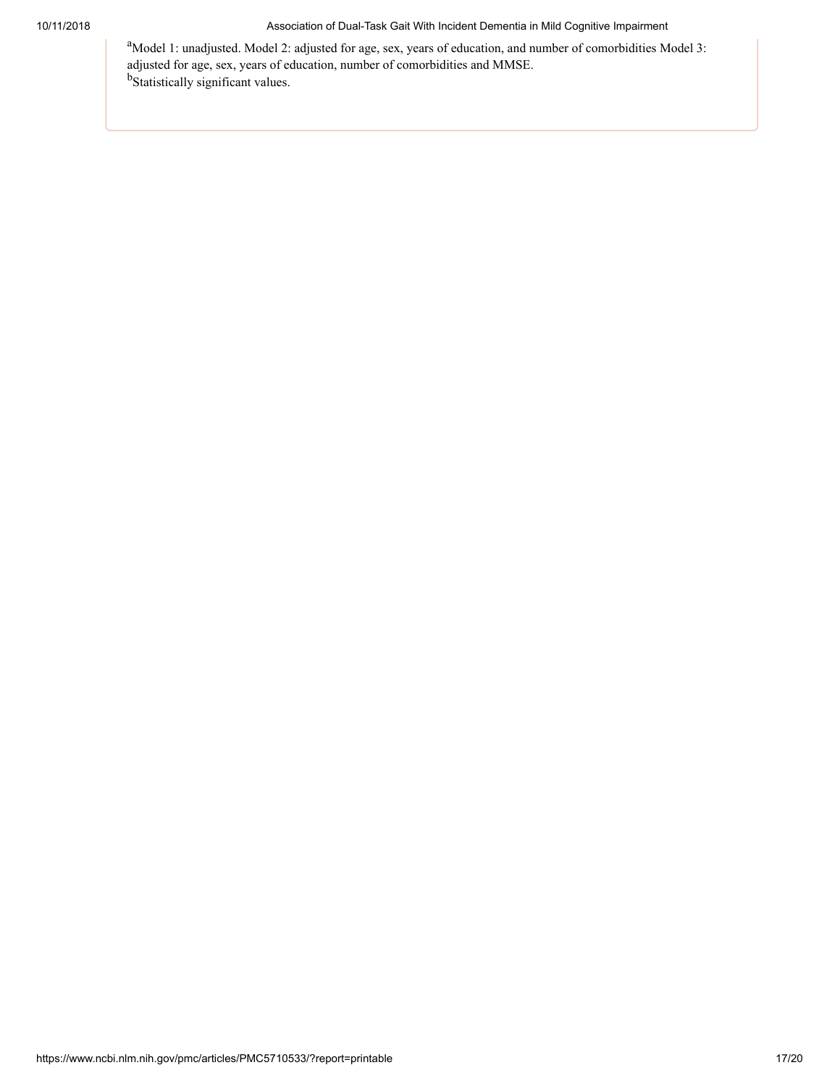<sup>a</sup>Model 1: unadjusted. Model 2: adjusted for age, sex, years of education, and number of comorbidities Model 3: adjusted for age, sex, years of education, number of comorbidities and MMSE. b<sub>Statistically</sub> significant values.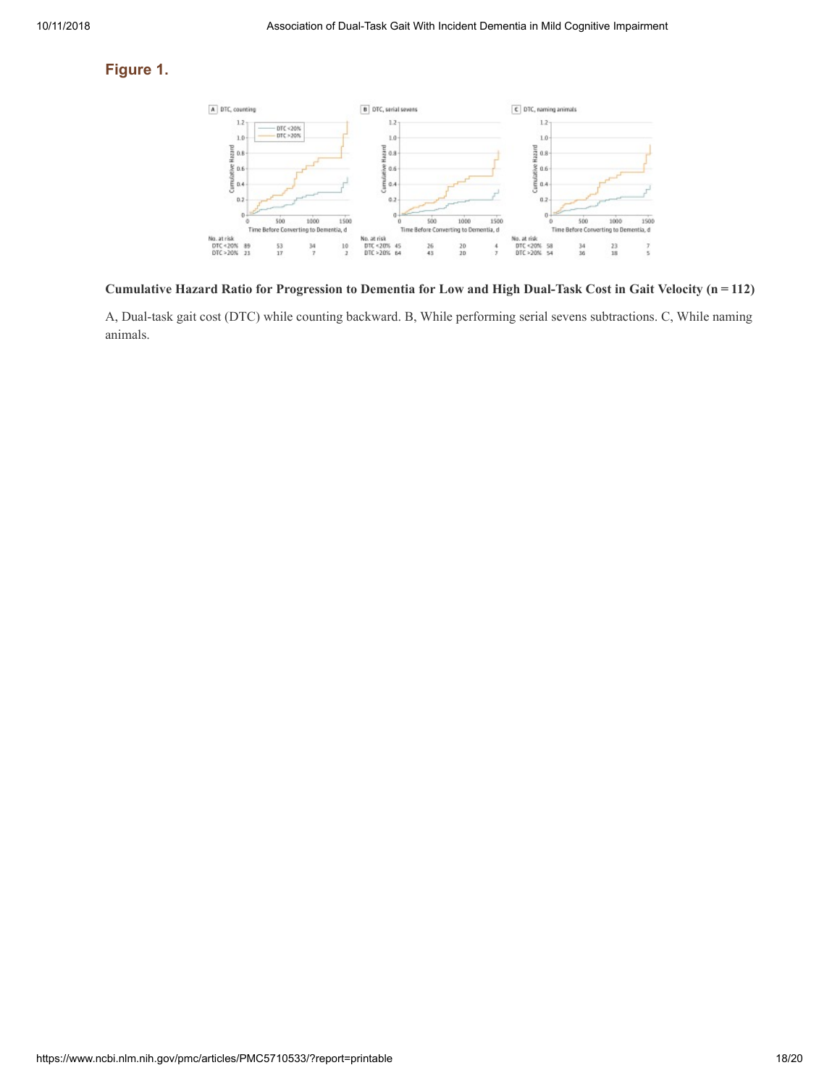### **Figure 1.**



Cumulative Hazard Ratio for Progression to Dementia for Low and High Dual-Task Cost in Gait Velocity (n = 112)

A, Dual-task gait cost (DTC) while counting backward. B, While performing serial sevens subtractions. C, While naming animals.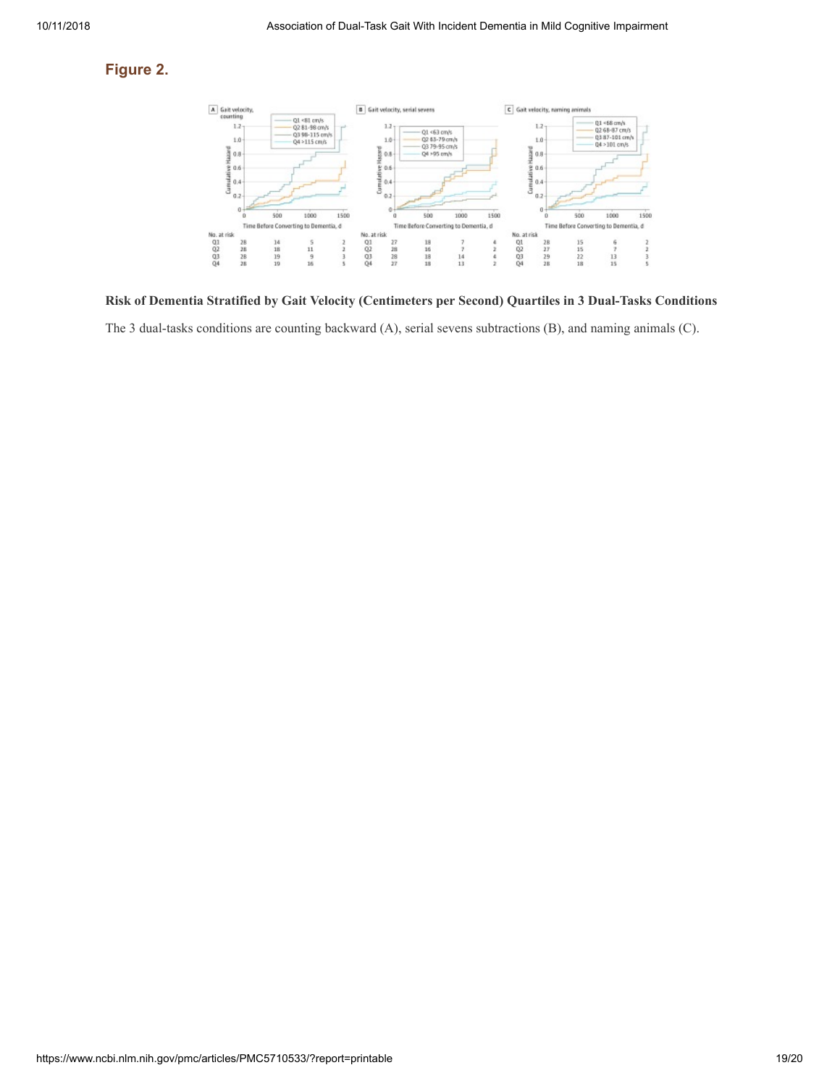### **Figure 2.**



**Risk of Dementia Stratified by Gait Velocity (Centimeters per Second) Quartiles in 3 Dual-Tasks Conditions**

The 3 dual-tasks conditions are counting backward (A), serial sevens subtractions (B), and naming animals (C).